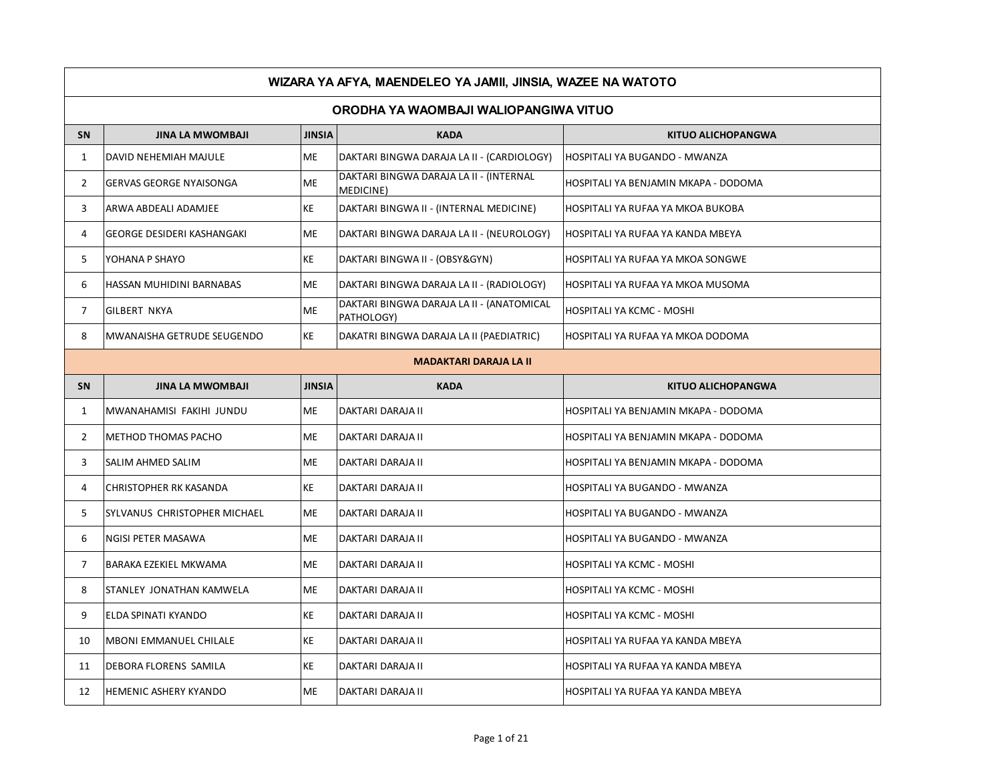|                | WIZARA YA AFYA, MAENDELEO YA JAMII, JINSIA, WAZEE NA WATOTO |               |                                                         |                                      |  |  |
|----------------|-------------------------------------------------------------|---------------|---------------------------------------------------------|--------------------------------------|--|--|
|                | ORODHA YA WAOMBAJI WALIOPANGIWA VITUO                       |               |                                                         |                                      |  |  |
| <b>SN</b>      | <b>JINA LA MWOMBAJI</b>                                     | <b>JINSIA</b> | <b>KADA</b>                                             | <b>KITUO ALICHOPANGWA</b>            |  |  |
| $\mathbf{1}$   | DAVID NEHEMIAH MAJULE                                       | <b>ME</b>     | DAKTARI BINGWA DARAJA LA II - (CARDIOLOGY)              | HOSPITALI YA BUGANDO - MWANZA        |  |  |
| $\overline{2}$ | <b>GERVAS GEORGE NYAISONGA</b>                              | <b>ME</b>     | DAKTARI BINGWA DARAJA LA II - (INTERNAL<br>MEDICINE)    | HOSPITALI YA BENJAMIN MKAPA - DODOMA |  |  |
| 3              | ARWA ABDEALI ADAMJEE                                        | <b>KE</b>     | DAKTARI BINGWA II - (INTERNAL MEDICINE)                 | HOSPITALI YA RUFAA YA MKOA BUKOBA    |  |  |
| 4              | GEORGE DESIDERI KASHANGAKI                                  | <b>ME</b>     | DAKTARI BINGWA DARAJA LA II - (NEUROLOGY)               | HOSPITALI YA RUFAA YA KANDA MBEYA    |  |  |
| 5              | YOHANA P SHAYO                                              | KE            | DAKTARI BINGWA II - (OBSY&GYN)                          | HOSPITALI YA RUFAA YA MKOA SONGWE    |  |  |
| 6              | HASSAN MUHIDINI BARNABAS                                    | <b>ME</b>     | DAKTARI BINGWA DARAJA LA II - (RADIOLOGY)               | HOSPITALI YA RUFAA YA MKOA MUSOMA    |  |  |
| 7              | <b>GILBERT NKYA</b>                                         | ME            | DAKTARI BINGWA DARAJA LA II - (ANATOMICAL<br>PATHOLOGY) | HOSPITALI YA KCMC - MOSHI            |  |  |
| 8              | MWANAISHA GETRUDE SEUGENDO                                  | KE            | DAKATRI BINGWA DARAJA LA II (PAEDIATRIC)                | HOSPITALI YA RUFAA YA MKOA DODOMA    |  |  |
|                | <b>MADAKTARI DARAJA LA II</b>                               |               |                                                         |                                      |  |  |
| SN             | <b>JINA LA MWOMBAJI</b>                                     | <b>JINSIA</b> | <b>KADA</b>                                             | <b>KITUO ALICHOPANGWA</b>            |  |  |
| $\mathbf{1}$   | MWANAHAMISI FAKIHI JUNDU                                    | <b>ME</b>     | DAKTARI DARAJA II                                       | HOSPITALI YA BENJAMIN MKAPA - DODOMA |  |  |
| $\overline{2}$ | METHOD THOMAS PACHO                                         | <b>ME</b>     | DAKTARI DARAJA II                                       | HOSPITALI YA BENJAMIN MKAPA - DODOMA |  |  |
| 3              | SALIM AHMED SALIM                                           | <b>ME</b>     | DAKTARI DARAJA II                                       | HOSPITALI YA BENJAMIN MKAPA - DODOMA |  |  |
| 4              | CHRISTOPHER RK KASANDA                                      | KE            | DAKTARI DARAJA II                                       | HOSPITALI YA BUGANDO - MWANZA        |  |  |
| 5              | SYLVANUS CHRISTOPHER MICHAEL                                | <b>ME</b>     | DAKTARI DARAJA II                                       | HOSPITALI YA BUGANDO - MWANZA        |  |  |
| 6              | NGISI PETER MASAWA                                          | <b>ME</b>     | DAKTARI DARAJA II                                       | HOSPITALI YA BUGANDO - MWANZA        |  |  |
| $\overline{7}$ | BARAKA EZEKIEL MKWAMA                                       | <b>ME</b>     | DAKTARI DARAJA II                                       | HOSPITALI YA KCMC - MOSHI            |  |  |
| 8              | STANLEY JONATHAN KAMWELA                                    | <b>ME</b>     | DAKTARI DARAJA II                                       | HOSPITALI YA KCMC - MOSHI            |  |  |
| 9              | ELDA SPINATI KYANDO                                         | KE            | DAKTARI DARAJA II                                       | HOSPITALI YA KCMC - MOSHI            |  |  |
| 10             | MBONI EMMANUEL CHILALE                                      | <b>KE</b>     | DAKTARI DARAJA II                                       | HOSPITALI YA RUFAA YA KANDA MBEYA    |  |  |
| 11             | DEBORA FLORENS SAMILA                                       | KE            | DAKTARI DARAJA II                                       | HOSPITALI YA RUFAA YA KANDA MBEYA    |  |  |
| 12             | <b>HEMENIC ASHERY KYANDO</b>                                | <b>ME</b>     | DAKTARI DARAJA II                                       | HOSPITALI YA RUFAA YA KANDA MBEYA    |  |  |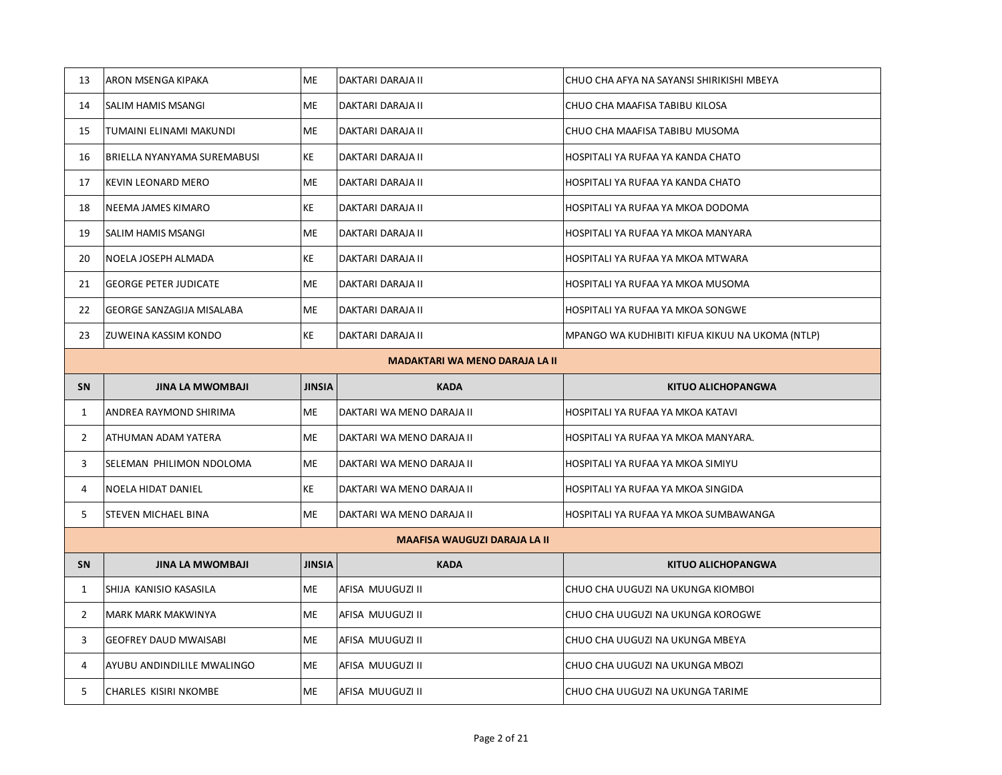| 13             | ARON MSENGA KIPAKA                    | <b>ME</b>     | DAKTARI DARAJA II                   | CHUO CHA AFYA NA SAYANSI SHIRIKISHI MBEYA       |  |  |
|----------------|---------------------------------------|---------------|-------------------------------------|-------------------------------------------------|--|--|
| 14             | SALIM HAMIS MSANGI                    | <b>ME</b>     | DAKTARI DARAJA II                   | CHUO CHA MAAFISA TABIBU KILOSA                  |  |  |
| 15             | TUMAINI ELINAMI MAKUNDI               | ME            | DAKTARI DARAJA II                   | CHUO CHA MAAFISA TABIBU MUSOMA                  |  |  |
| 16             | BRIELLA NYANYAMA SUREMABUSI           | KE            | DAKTARI DARAJA II                   | HOSPITALI YA RUFAA YA KANDA CHATO               |  |  |
| 17             | KEVIN LEONARD MERO                    | ME            | DAKTARI DARAJA II                   | HOSPITALI YA RUFAA YA KANDA CHATO               |  |  |
| 18             | NEEMA JAMES KIMARO                    | KE            | DAKTARI DARAJA II                   | HOSPITALI YA RUFAA YA MKOA DODOMA               |  |  |
| 19             | SALIM HAMIS MSANGI                    | <b>ME</b>     | DAKTARI DARAJA II                   | HOSPITALI YA RUFAA YA MKOA MANYARA              |  |  |
| 20             | NOELA JOSEPH ALMADA                   | KE            | DAKTARI DARAJA II                   | HOSPITALI YA RUFAA YA MKOA MTWARA               |  |  |
| 21             | <b>GEORGE PETER JUDICATE</b>          | ME            | DAKTARI DARAJA II                   | HOSPITALI YA RUFAA YA MKOA MUSOMA               |  |  |
| 22             | GEORGE SANZAGIJA MISALABA             | <b>ME</b>     | DAKTARI DARAJA II                   | HOSPITALI YA RUFAA YA MKOA SONGWE               |  |  |
| 23             | ZUWEINA KASSIM KONDO                  | KE            | DAKTARI DARAJA II                   | MPANGO WA KUDHIBITI KIFUA KIKUU NA UKOMA (NTLP) |  |  |
|                | <b>MADAKTARI WA MENO DARAJA LA II</b> |               |                                     |                                                 |  |  |
| <b>SN</b>      | <b>JINA LA MWOMBAJI</b>               | <b>JINSIA</b> | <b>KADA</b>                         | <b>KITUO ALICHOPANGWA</b>                       |  |  |
|                |                                       |               |                                     |                                                 |  |  |
| $\mathbf{1}$   | ANDREA RAYMOND SHIRIMA                | ME            | DAKTARI WA MENO DARAJA II           | HOSPITALI YA RUFAA YA MKOA KATAVI               |  |  |
| $\overline{2}$ | ATHUMAN ADAM YATERA                   | ME            | DAKTARI WA MENO DARAJA II           | HOSPITALI YA RUFAA YA MKOA MANYARA.             |  |  |
| 3              | SELEMAN PHILIMON NDOLOMA              | ME            | DAKTARI WA MENO DARAJA II           | HOSPITALI YA RUFAA YA MKOA SIMIYU               |  |  |
| 4              | NOELA HIDAT DANIEL                    | KE            | DAKTARI WA MENO DARAJA II           | HOSPITALI YA RUFAA YA MKOA SINGIDA              |  |  |
| 5              | STEVEN MICHAEL BINA                   | ME            | DAKTARI WA MENO DARAJA II           | HOSPITALI YA RUFAA YA MKOA SUMBAWANGA           |  |  |
|                |                                       |               | <b>MAAFISA WAUGUZI DARAJA LA II</b> |                                                 |  |  |
| SN             | <b>JINA LA MWOMBAJI</b>               | <b>JINSIA</b> | <b>KADA</b>                         | <b>KITUO ALICHOPANGWA</b>                       |  |  |
| $\mathbf{1}$   | SHIJA KANISIO KASASILA                | <b>ME</b>     | AFISA MUUGUZI II                    | CHUO CHA UUGUZI NA UKUNGA KIOMBOI               |  |  |
| $\overline{2}$ | MARK MARK MAKWINYA                    | ME            | AFISA MUUGUZI II                    | CHUO CHA UUGUZI NA UKUNGA KOROGWE               |  |  |
| 3              | <b>GEOFREY DAUD MWAISABI</b>          | <b>ME</b>     | AFISA MUUGUZI II                    | CHUO CHA UUGUZI NA UKUNGA MBEYA                 |  |  |
| 4              | AYUBU ANDINDILILE MWALINGO            | ME            | AFISA MUUGUZI II                    | CHUO CHA UUGUZI NA UKUNGA MBOZI                 |  |  |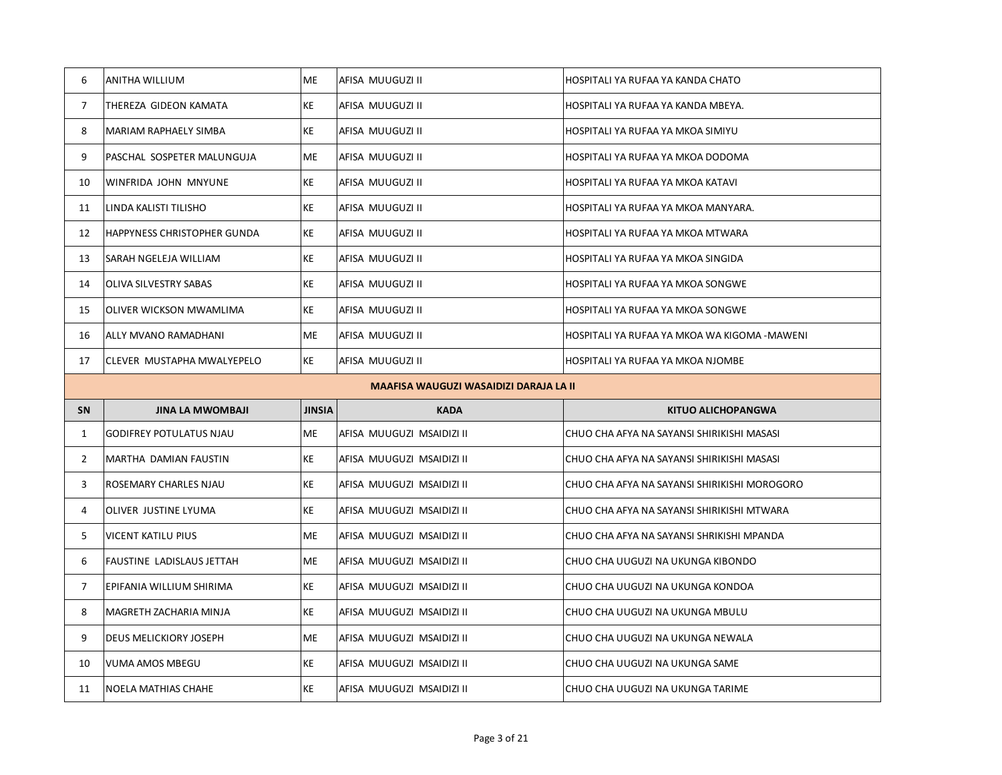| 6              | <b>ANITHA WILLIUM</b>                  | <b>ME</b>     | AFISA MUUGUZI II          | HOSPITALI YA RUFAA YA KANDA CHATO            |  |  |
|----------------|----------------------------------------|---------------|---------------------------|----------------------------------------------|--|--|
| $\overline{7}$ | THEREZA GIDEON KAMATA                  | KE            | AFISA MUUGUZI II          | HOSPITALI YA RUFAA YA KANDA MBEYA.           |  |  |
| 8              | MARIAM RAPHAELY SIMBA                  | KE            | AFISA MUUGUZI II          | HOSPITALI YA RUFAA YA MKOA SIMIYU            |  |  |
| 9              | PASCHAL SOSPETER MALUNGUJA             | ME            | AFISA MUUGUZI II          | HOSPITALI YA RUFAA YA MKOA DODOMA            |  |  |
| 10             | WINFRIDA JOHN MNYUNE                   | KE            | AFISA MUUGUZI II          | HOSPITALI YA RUFAA YA MKOA KATAVI            |  |  |
| 11             | LINDA KALISTI TILISHO                  | KE            | AFISA MUUGUZI II          | HOSPITALI YA RUFAA YA MKOA MANYARA.          |  |  |
| 12             | HAPPYNESS CHRISTOPHER GUNDA            | KE            | AFISA MUUGUZI II          | HOSPITALI YA RUFAA YA MKOA MTWARA            |  |  |
| 13             | SARAH NGELEJA WILLIAM                  | KE            | AFISA MUUGUZI II          | HOSPITALI YA RUFAA YA MKOA SINGIDA           |  |  |
| 14             | OLIVA SILVESTRY SABAS                  | KE            | AFISA MUUGUZI II          | HOSPITALI YA RUFAA YA MKOA SONGWE            |  |  |
| 15             | OLIVER WICKSON MWAMLIMA                | KE            | AFISA MUUGUZI II          | HOSPITALI YA RUFAA YA MKOA SONGWE            |  |  |
| 16             | ALLY MVANO RAMADHANI                   | ME            | AFISA MUUGUZI II          | HOSPITALI YA RUFAA YA MKOA WA KIGOMA -MAWENI |  |  |
| 17             | CLEVER MUSTAPHA MWALYEPELO             | KE            | AFISA MUUGUZI II          | HOSPITALI YA RUFAA YA MKOA NJOMBE            |  |  |
|                | MAAFISA WAUGUZI WASAIDIZI DARAJA LA II |               |                           |                                              |  |  |
|                |                                        |               |                           |                                              |  |  |
| SN             | <b>JINA LA MWOMBAJI</b>                | <b>JINSIA</b> | <b>KADA</b>               | <b>KITUO ALICHOPANGWA</b>                    |  |  |
| $\mathbf{1}$   | <b>GODIFREY POTULATUS NJAU</b>         | ME            | AFISA MUUGUZI MSAIDIZI II | CHUO CHA AFYA NA SAYANSI SHIRIKISHI MASASI   |  |  |
| $\overline{2}$ | MARTHA DAMIAN FAUSTIN                  | <b>KE</b>     | AFISA MUUGUZI MSAIDIZI II | CHUO CHA AFYA NA SAYANSI SHIRIKISHI MASASI   |  |  |
| 3              | ROSEMARY CHARLES NJAU                  | KE            | AFISA MUUGUZI MSAIDIZI II | CHUO CHA AFYA NA SAYANSI SHIRIKISHI MOROGORO |  |  |
| 4              | OLIVER JUSTINE LYUMA                   | KE            | AFISA MUUGUZI MSAIDIZI II | CHUO CHA AFYA NA SAYANSI SHIRIKISHI MTWARA   |  |  |
| 5              | <b>VICENT KATILU PIUS</b>              | <b>ME</b>     | AFISA MUUGUZI MSAIDIZI II | CHUO CHA AFYA NA SAYANSI SHRIKISHI MPANDA    |  |  |
| 6              | FAUSTINE LADISLAUS JETTAH              | ME            | AFISA MUUGUZI MSAIDIZI II | CHUO CHA UUGUZI NA UKUNGA KIBONDO            |  |  |
| 7              | EPIFANIA WILLIUM SHIRIMA               | KE            | AFISA MUUGUZI MSAIDIZI II | CHUO CHA UUGUZI NA UKUNGA KONDOA             |  |  |
| 8              | MAGRETH ZACHARIA MINJA                 | KE            | AFISA MUUGUZI MSAIDIZI II | CHUO CHA UUGUZI NA UKUNGA MBULU              |  |  |
| 9              | DEUS MELICKIORY JOSEPH                 | <b>ME</b>     | AFISA MUUGUZI MSAIDIZI II | CHUO CHA UUGUZI NA UKUNGA NEWALA             |  |  |
| 10             | VUMA AMOS MBEGU                        | KE            | AFISA MUUGUZI MSAIDIZI II | CHUO CHA UUGUZI NA UKUNGA SAME               |  |  |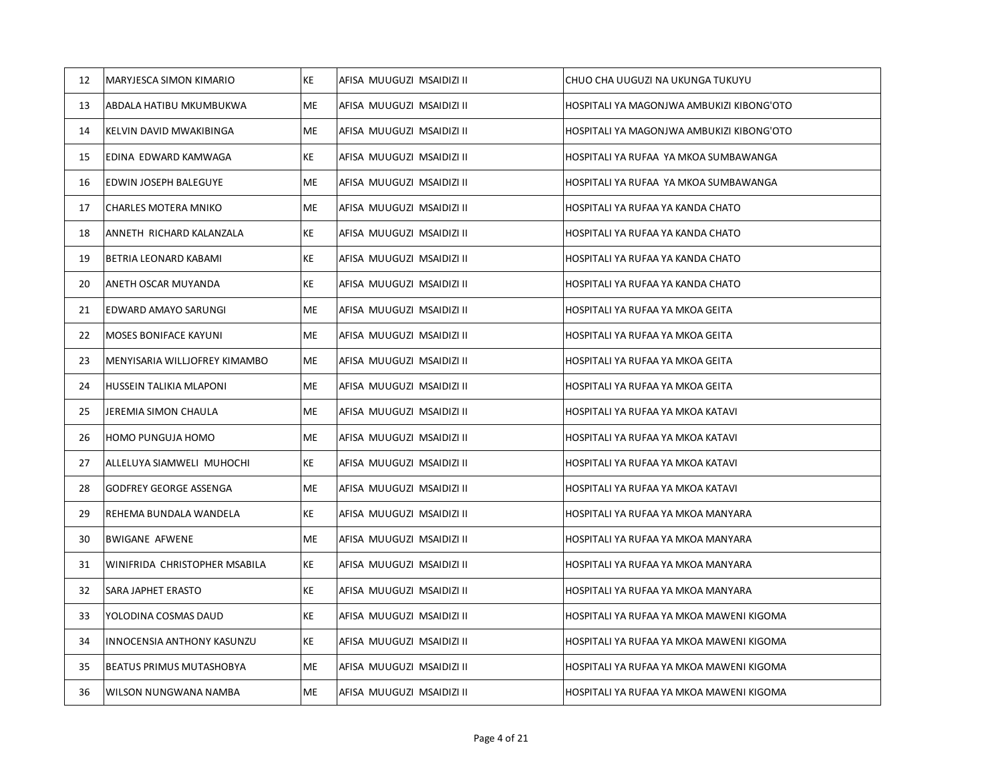| 12 | MARYJESCA SIMON KIMARIO       | KE | AFISA MUUGUZI MSAIDIZI II | CHUO CHA UUGUZI NA UKUNGA TUKUYU          |
|----|-------------------------------|----|---------------------------|-------------------------------------------|
| 13 | ABDALA HATIBU MKUMBUKWA       | ME | AFISA MUUGUZI MSAIDIZI II | HOSPITALI YA MAGONJWA AMBUKIZI KIBONG'OTO |
| 14 | KELVIN DAVID MWAKIBINGA       | ME | AFISA MUUGUZI MSAIDIZI II | HOSPITALI YA MAGONJWA AMBUKIZI KIBONG'OTO |
| 15 | EDINA EDWARD KAMWAGA          | KE | AFISA MUUGUZI MSAIDIZI II | HOSPITALI YA RUFAA YA MKOA SUMBAWANGA     |
| 16 | EDWIN JOSEPH BALEGUYE         | ME | AFISA MUUGUZI MSAIDIZI II | HOSPITALI YA RUFAA YA MKOA SUMBAWANGA     |
| 17 | CHARLES MOTERA MNIKO          | ME | AFISA MUUGUZI MSAIDIZI II | HOSPITALI YA RUFAA YA KANDA CHATO         |
| 18 | ANNETH RICHARD KALANZALA      | KE | AFISA MUUGUZI MSAIDIZI II | HOSPITALI YA RUFAA YA KANDA CHATO         |
| 19 | BETRIA LEONARD KABAMI         | KE | AFISA MUUGUZI MSAIDIZI II | HOSPITALI YA RUFAA YA KANDA CHATO         |
| 20 | ANETH OSCAR MUYANDA           | KE | AFISA MUUGUZI MSAIDIZI II | HOSPITALI YA RUFAA YA KANDA CHATO         |
| 21 | EDWARD AMAYO SARUNGI          | ME | AFISA MUUGUZI MSAIDIZI II | HOSPITALI YA RUFAA YA MKOA GEITA          |
| 22 | MOSES BONIFACE KAYUNI         | ME | AFISA MUUGUZI MSAIDIZI II | HOSPITALI YA RUFAA YA MKOA GEITA          |
| 23 | MENYISARIA WILLJOFREY KIMAMBO | ME | AFISA MUUGUZI MSAIDIZI II | HOSPITALI YA RUFAA YA MKOA GEITA          |
| 24 | HUSSEIN TALIKIA MLAPONI       | ME | AFISA MUUGUZI MSAIDIZI II | HOSPITALI YA RUFAA YA MKOA GEITA          |
| 25 | JEREMIA SIMON CHAULA          | ME | AFISA MUUGUZI MSAIDIZI II | HOSPITALI YA RUFAA YA MKOA KATAVI         |
| 26 | HOMO PUNGUJA HOMO             | ME | AFISA MUUGUZI MSAIDIZI II | HOSPITALI YA RUFAA YA MKOA KATAVI         |
| 27 | ALLELUYA SIAMWELI MUHOCHI     | KE | AFISA MUUGUZI MSAIDIZI II | HOSPITALI YA RUFAA YA MKOA KATAVI         |
| 28 | GODFREY GEORGE ASSENGA        | ME | AFISA MUUGUZI MSAIDIZI II | HOSPITALI YA RUFAA YA MKOA KATAVI         |
| 29 | REHEMA BUNDALA WANDELA        | KE | AFISA MUUGUZI MSAIDIZI II | HOSPITALI YA RUFAA YA MKOA MANYARA        |
| 30 | <b>BWIGANE AFWENE</b>         | ME | AFISA MUUGUZI MSAIDIZI II | HOSPITALI YA RUFAA YA MKOA MANYARA        |
| 31 | WINIFRIDA CHRISTOPHER MSABILA | KE | AFISA MUUGUZI MSAIDIZI II | HOSPITALI YA RUFAA YA MKOA MANYARA        |
| 32 | SARA JAPHET ERASTO            | KE | AFISA MUUGUZI MSAIDIZI II | HOSPITALI YA RUFAA YA MKOA MANYARA        |
| 33 | YOLODINA COSMAS DAUD          | KE | AFISA MUUGUZI MSAIDIZI II | HOSPITALI YA RUFAA YA MKOA MAWENI KIGOMA  |
| 34 | INNOCENSIA ANTHONY KASUNZU    | KE | AFISA MUUGUZI MSAIDIZI II | HOSPITALI YA RUFAA YA MKOA MAWENI KIGOMA  |
| 35 | BEATUS PRIMUS MUTASHOBYA      | ME | AFISA MUUGUZI MSAIDIZI II | HOSPITALI YA RUFAA YA MKOA MAWENI KIGOMA  |
| 36 | WILSON NUNGWANA NAMBA         | ME | AFISA MUUGUZI MSAIDIZI II | HOSPITALI YA RUFAA YA MKOA MAWENI KIGOMA  |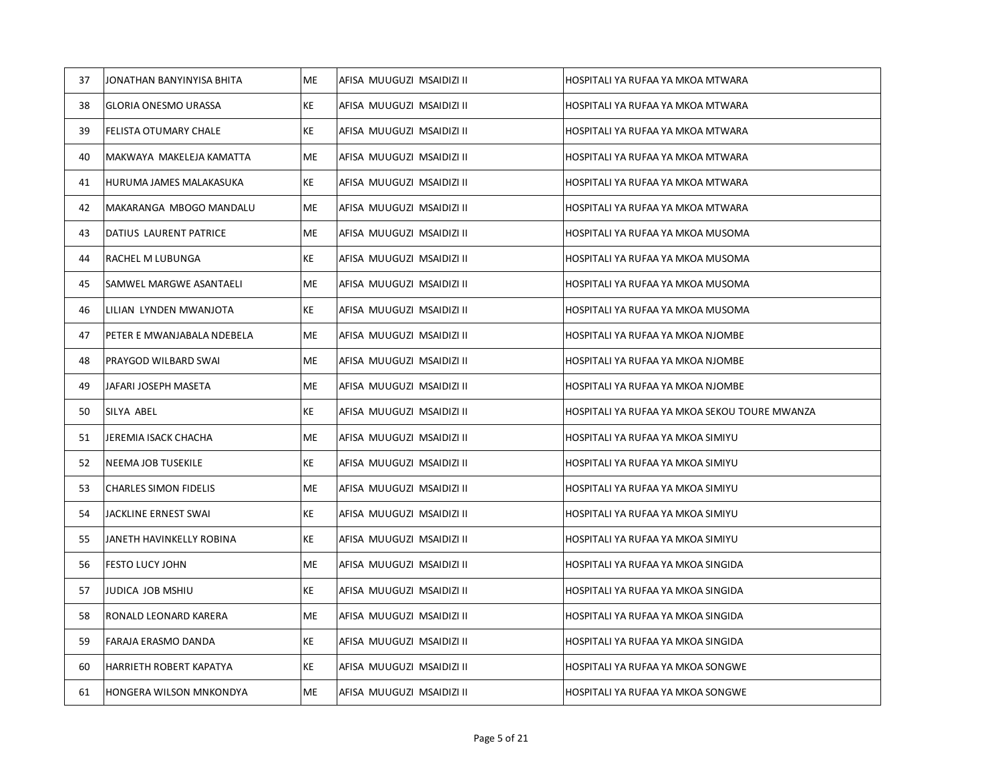| 37 | JONATHAN BANYINYISA BHITA      | ME  | AFISA MUUGUZI MSAIDIZI II | HOSPITALI YA RUFAA YA MKOA MTWARA             |
|----|--------------------------------|-----|---------------------------|-----------------------------------------------|
| 38 | GLORIA ONESMO URASSA           | KE  | AFISA MUUGUZI MSAIDIZI II | HOSPITALI YA RUFAA YA MKOA MTWARA             |
| 39 | FELISTA OTUMARY CHALE          | KE  | AFISA MUUGUZI MSAIDIZI II | HOSPITALI YA RUFAA YA MKOA MTWARA             |
| 40 | MAKWAYA MAKELEJA KAMATTA       | ME. | AFISA MUUGUZI MSAIDIZI II | HOSPITALI YA RUFAA YA MKOA MTWARA             |
| 41 | HURUMA JAMES MALAKASUKA        | KE  | AFISA MUUGUZI MSAIDIZI II | HOSPITALI YA RUFAA YA MKOA MTWARA             |
| 42 | MAKARANGA MBOGO MANDALU        | ME  | AFISA MUUGUZI MSAIDIZI II | HOSPITALI YA RUFAA YA MKOA MTWARA             |
| 43 | DATIUS LAURENT PATRICE         | ME  | AFISA MUUGUZI MSAIDIZI II | HOSPITALI YA RUFAA YA MKOA MUSOMA             |
| 44 | RACHEL M LUBUNGA               | КE  | AFISA MUUGUZI MSAIDIZI II | HOSPITALI YA RUFAA YA MKOA MUSOMA             |
| 45 | <b>SAMWEL MARGWE ASANTAELI</b> | ME  | AFISA MUUGUZI MSAIDIZI II | HOSPITALI YA RUFAA YA MKOA MUSOMA             |
| 46 | LILIAN LYNDEN MWANJOTA         | KE  | AFISA MUUGUZI MSAIDIZI II | HOSPITALI YA RUFAA YA MKOA MUSOMA             |
| 47 | PETER E MWANJABALA NDEBELA     | ME  | AFISA MUUGUZI MSAIDIZI II | HOSPITALI YA RUFAA YA MKOA NJOMBE             |
| 48 | PRAYGOD WILBARD SWAI           | ME  | AFISA MUUGUZI MSAIDIZI II | HOSPITALI YA RUFAA YA MKOA NJOMBE             |
| 49 | JAFARI JOSEPH MASETA           | ME  | AFISA MUUGUZI MSAIDIZI II | HOSPITALI YA RUFAA YA MKOA NJOMBE             |
| 50 | SILYA ABEL                     | KE  | AFISA MUUGUZI MSAIDIZI II | HOSPITALI YA RUFAA YA MKOA SEKOU TOURE MWANZA |
| 51 | JEREMIA ISACK CHACHA           | ME  | AFISA MUUGUZI MSAIDIZI II | HOSPITALI YA RUFAA YA MKOA SIMIYU             |
| 52 | NEEMA JOB TUSEKILE             | KE  | AFISA MUUGUZI MSAIDIZI II | HOSPITALI YA RUFAA YA MKOA SIMIYU             |
| 53 | <b>CHARLES SIMON FIDELIS</b>   | ME  | AFISA MUUGUZI MSAIDIZI II | HOSPITALI YA RUFAA YA MKOA SIMIYU             |
| 54 | JACKLINE ERNEST SWAI           | KE  | AFISA MUUGUZI MSAIDIZI II | HOSPITALI YA RUFAA YA MKOA SIMIYU             |
| 55 | JANETH HAVINKELLY ROBINA       | KE  | AFISA MUUGUZI MSAIDIZI II | HOSPITALI YA RUFAA YA MKOA SIMIYU             |
| 56 | <b>FESTO LUCY JOHN</b>         | ME  | AFISA MUUGUZI MSAIDIZI II | HOSPITALI YA RUFAA YA MKOA SINGIDA            |
| 57 | JUDICA JOB MSHIU               | KE  | AFISA MUUGUZI MSAIDIZI II | HOSPITALI YA RUFAA YA MKOA SINGIDA            |
| 58 | RONALD LEONARD KARERA          | ME  | AFISA MUUGUZI MSAIDIZI II | HOSPITALI YA RUFAA YA MKOA SINGIDA            |
| 59 | <b>FARAJA ERASMO DANDA</b>     | KE  | AFISA MUUGUZI MSAIDIZI II | HOSPITALI YA RUFAA YA MKOA SINGIDA            |
| 60 | HARRIETH ROBERT KAPATYA        | KE  | AFISA MUUGUZI MSAIDIZI II | HOSPITALI YA RUFAA YA MKOA SONGWE             |
| 61 | HONGERA WILSON MNKONDYA        | ME  | AFISA MUUGUZI MSAIDIZI II | HOSPITALI YA RUFAA YA MKOA SONGWE             |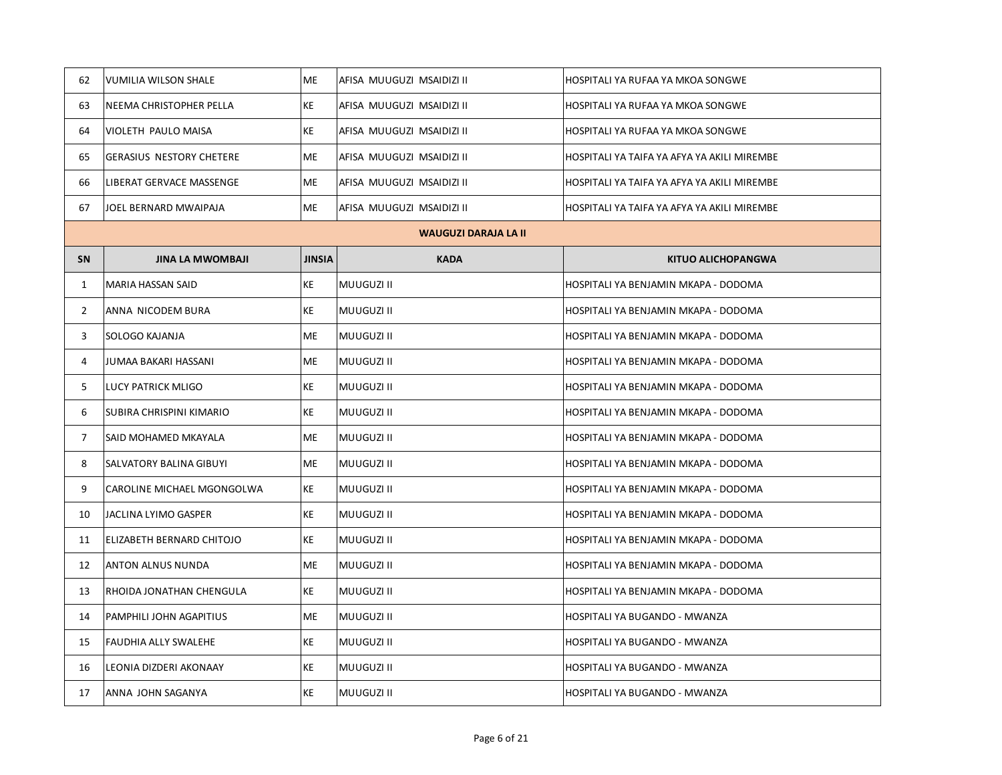| 62             | VUMILIA WILSON SHALE            | <b>ME</b>     | AFISA MUUGUZI MSAIDIZI II   | HOSPITALI YA RUFAA YA MKOA SONGWE           |
|----------------|---------------------------------|---------------|-----------------------------|---------------------------------------------|
| 63             | NEEMA CHRISTOPHER PELLA         | KE            | AFISA MUUGUZI MSAIDIZI II   | HOSPITALI YA RUFAA YA MKOA SONGWE           |
| 64             | VIOLETH PAULO MAISA             | KE            | AFISA MUUGUZI MSAIDIZI II   | HOSPITALI YA RUFAA YA MKOA SONGWE           |
| 65             | <b>GERASIUS NESTORY CHETERE</b> | ME            | AFISA MUUGUZI MSAIDIZI II   | HOSPITALI YA TAIFA YA AFYA YA AKILI MIREMBE |
| 66             | LIBERAT GERVACE MASSENGE        | ME            | AFISA MUUGUZI MSAIDIZI II   | HOSPITALI YA TAIFA YA AFYA YA AKILI MIREMBE |
| 67             | JOEL BERNARD MWAIPAJA           | ME            | AFISA MUUGUZI MSAIDIZI II   | HOSPITALI YA TAIFA YA AFYA YA AKILI MIREMBE |
|                |                                 |               | <b>WAUGUZI DARAJA LA II</b> |                                             |
| <b>SN</b>      | <b>JINA LA MWOMBAJI</b>         | <b>JINSIA</b> | <b>KADA</b>                 | <b>KITUO ALICHOPANGWA</b>                   |
| $\mathbf{1}$   | MARIA HASSAN SAID               | KE            | MUUGUZI II                  | HOSPITALI YA BENJAMIN MKAPA - DODOMA        |
| $\mathbf{2}$   | ANNA NICODEM BURA               | KE            | <b>MUUGUZI II</b>           | HOSPITALI YA BENJAMIN MKAPA - DODOMA        |
| 3              | SOLOGO KAJANJA                  | <b>ME</b>     | <b>MUUGUZI II</b>           | HOSPITALI YA BENJAMIN MKAPA - DODOMA        |
| $\overline{4}$ | JUMAA BAKARI HASSANI            | <b>ME</b>     | MUUGUZI II                  | HOSPITALI YA BENJAMIN MKAPA - DODOMA        |
| 5              | LUCY PATRICK MLIGO              | KE            | MUUGUZI II                  | HOSPITALI YA BENJAMIN MKAPA - DODOMA        |
| 6              | SUBIRA CHRISPINI KIMARIO        | KE            | <b>MUUGUZI II</b>           | HOSPITALI YA BENJAMIN MKAPA - DODOMA        |
| $\overline{7}$ | SAID MOHAMED MKAYALA            | <b>ME</b>     | <b>MUUGUZI II</b>           | HOSPITALI YA BENJAMIN MKAPA - DODOMA        |
| 8              | SALVATORY BALINA GIBUYI         | <b>ME</b>     | MUUGUZI II                  | HOSPITALI YA BENJAMIN MKAPA - DODOMA        |
| 9              | CAROLINE MICHAEL MGONGOLWA      | KE            | <b>MUUGUZI II</b>           | HOSPITALI YA BENJAMIN MKAPA - DODOMA        |
| 10             | JACLINA LYIMO GASPER            | KE            | <b>MUUGUZI II</b>           | HOSPITALI YA BENJAMIN MKAPA - DODOMA        |
| 11             | ELIZABETH BERNARD CHITOJO       | KE            | <b>MUUGUZI II</b>           | HOSPITALI YA BENJAMIN MKAPA - DODOMA        |
| 12             | ANTON ALNUS NUNDA               | <b>ME</b>     | MUUGUZI II                  | HOSPITALI YA BENJAMIN MKAPA - DODOMA        |
| 13             | RHOIDA JONATHAN CHENGULA        | KE            | <b>MUUGUZI II</b>           | HOSPITALI YA BENJAMIN MKAPA - DODOMA        |
| 14             | PAMPHILI JOHN AGAPITIUS         | <b>ME</b>     | <b>MUUGUZI II</b>           | HOSPITALI YA BUGANDO - MWANZA               |
| 15             | FAUDHIA ALLY SWALEHE            | KE            | <b>MUUGUZI II</b>           | HOSPITALI YA BUGANDO - MWANZA               |
| 16             | LEONIA DIZDERI AKONAAY          | KE            | <b>MUUGUZI II</b>           | HOSPITALI YA BUGANDO - MWANZA               |
| 17             | ANNA JOHN SAGANYA               | KE            | <b>MUUGUZI II</b>           | HOSPITALI YA BUGANDO - MWANZA               |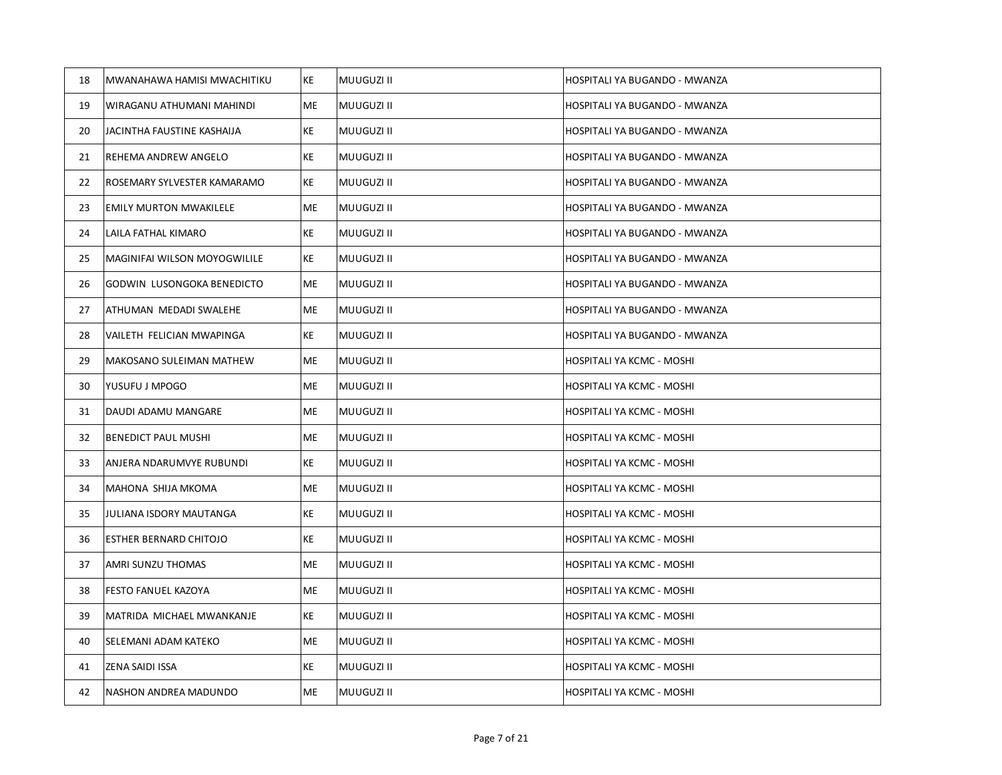| 18 | MWANAHAWA HAMISI MWACHITIKU   | KE | MUUGUZI II        | HOSPITALI YA BUGANDO - MWANZA |
|----|-------------------------------|----|-------------------|-------------------------------|
| 19 | WIRAGANU ATHUMANI MAHINDI     | ME | MUUGUZI II        | HOSPITALI YA BUGANDO - MWANZA |
| 20 | JACINTHA FAUSTINE KASHAIJA    | KE | MUUGUZI II        | HOSPITALI YA BUGANDO - MWANZA |
| 21 | REHEMA ANDREW ANGELO          | KE | MUUGUZI II        | HOSPITALI YA BUGANDO - MWANZA |
| 22 | ROSEMARY SYLVESTER KAMARAMO   | KE | <b>MUUGUZI II</b> | HOSPITALI YA BUGANDO - MWANZA |
| 23 | <b>EMILY MURTON MWAKILELE</b> | ME | MUUGUZI II        | HOSPITALI YA BUGANDO - MWANZA |
| 24 | LAILA FATHAL KIMARO           | KE | MUUGUZI II        | HOSPITALI YA BUGANDO - MWANZA |
| 25 | MAGINIFAI WILSON MOYOGWILILE  | KE | MUUGUZI II        | HOSPITALI YA BUGANDO - MWANZA |
| 26 | GODWIN LUSONGOKA BENEDICTO    | ME | <b>MUUGUZI II</b> | HOSPITALI YA BUGANDO - MWANZA |
| 27 | ATHUMAN MEDADI SWALEHE        | ME | MUUGUZI II        | HOSPITALI YA BUGANDO - MWANZA |
| 28 | VAILETH FELICIAN MWAPINGA     | KE | MUUGUZI II        | HOSPITALI YA BUGANDO - MWANZA |
| 29 | MAKOSANO SULEIMAN MATHEW      | ME | <b>MUUGUZI II</b> | HOSPITALI YA KCMC - MOSHI     |
| 30 | YUSUFU J MPOGO                | ME | <b>MUUGUZI II</b> | HOSPITALI YA KCMC - MOSHI     |
| 31 | DAUDI ADAMU MANGARE           | ME | MUUGUZI II        | HOSPITALI YA KCMC - MOSHI     |
| 32 | <b>BENEDICT PAUL MUSHI</b>    | ME | MUUGUZI II        | HOSPITALI YA KCMC - MOSHI     |
| 33 | ANJERA NDARUMVYE RUBUNDI      | KE | MUUGUZI II        | HOSPITALI YA KCMC - MOSHI     |
| 34 | MAHONA SHIJA MKOMA            | ME | MUUGUZI II        | HOSPITALI YA KCMC - MOSHI     |
| 35 | JULIANA ISDORY MAUTANGA       | KE | MUUGUZI II        | HOSPITALI YA KCMC - MOSHI     |
| 36 | ESTHER BERNARD CHITOJO        | KE | MUUGUZI II        | HOSPITALI YA KCMC - MOSHI     |
| 37 | AMRI SUNZU THOMAS             | ME | MUUGUZI II        | HOSPITALI YA KCMC - MOSHI     |
| 38 | FESTO FANUEL KAZOYA           | ME | MUUGUZI II        | HOSPITALI YA KCMC - MOSHI     |
| 39 | MATRIDA MICHAEL MWANKANJE     | KE | MUUGUZI II        | HOSPITALI YA KCMC - MOSHI     |
| 40 | SELEMANI ADAM KATEKO          | ME | <b>MUUGUZI II</b> | HOSPITALI YA KCMC - MOSHI     |
| 41 | ZENA SAIDI ISSA               | KE | MUUGUZI II        | HOSPITALI YA KCMC - MOSHI     |
| 42 | NASHON ANDREA MADUNDO         | ME | MUUGUZI II        | HOSPITALI YA KCMC - MOSHI     |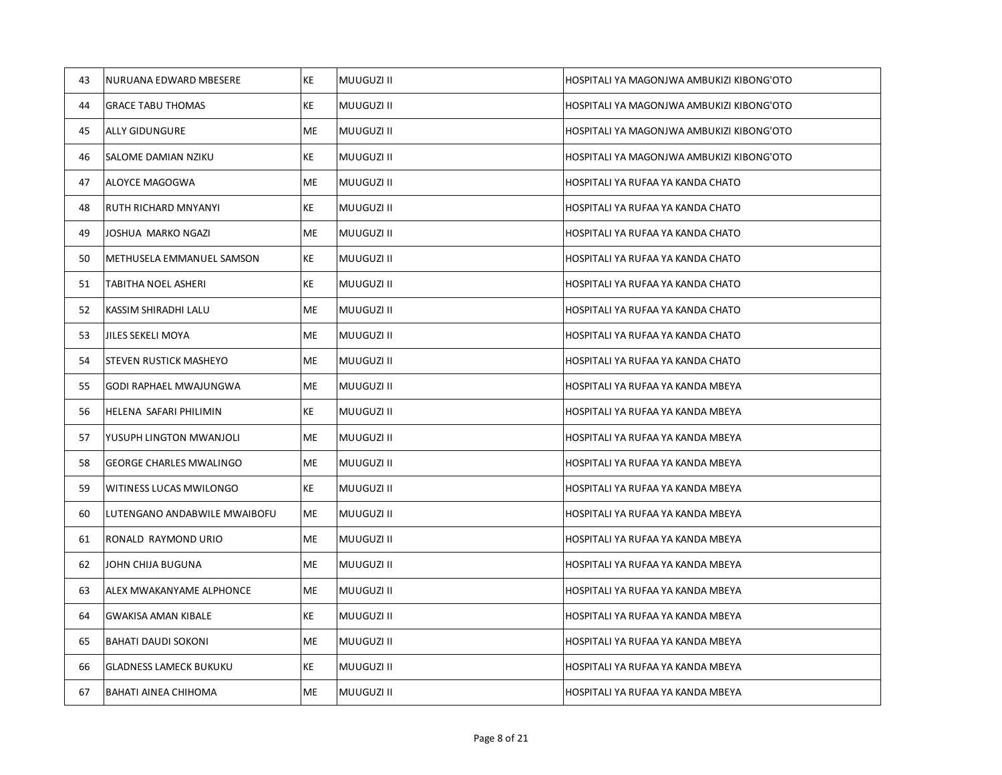| 43 | NURUANA EDWARD MBESERE         | KE        | MUUGUZI II        | HOSPITALI YA MAGONJWA AMBUKIZI KIBONG'OTO |
|----|--------------------------------|-----------|-------------------|-------------------------------------------|
| 44 | <b>GRACE TABU THOMAS</b>       | KE        | MUUGUZI II        | HOSPITALI YA MAGONJWA AMBUKIZI KIBONG'OTO |
| 45 | ALLY GIDUNGURE                 | ME        | MUUGUZI II        | HOSPITALI YA MAGONJWA AMBUKIZI KIBONG'OTO |
| 46 | SALOME DAMIAN NZIKU            | KE        | MUUGUZI II        | HOSPITALI YA MAGONJWA AMBUKIZI KIBONG'OTO |
| 47 | ALOYCE MAGOGWA                 | ME        | <b>MUUGUZI II</b> | HOSPITALI YA RUFAA YA KANDA CHATO         |
| 48 | RUTH RICHARD MNYANYI           | KE        | MUUGUZI II        | HOSPITALI YA RUFAA YA KANDA CHATO         |
| 49 | JOSHUA MARKO NGAZI             | ME        | MUUGUZI II        | HOSPITALI YA RUFAA YA KANDA CHATO         |
| 50 | METHUSELA EMMANUEL SAMSON      | KE        | <b>MUUGUZI II</b> | HOSPITALI YA RUFAA YA KANDA CHATO         |
| 51 | TABITHA NOEL ASHERI            | KE        | MUUGUZI II        | HOSPITALI YA RUFAA YA KANDA CHATO         |
| 52 | KASSIM SHIRADHI LALU           | ME        | MUUGUZI II        | HOSPITALI YA RUFAA YA KANDA CHATO         |
| 53 | JILES SEKELI MOYA              | ME        | <b>MUUGUZI II</b> | HOSPITALI YA RUFAA YA KANDA CHATO         |
| 54 | STEVEN RUSTICK MASHEYO         | ME        | <b>MUUGUZI II</b> | HOSPITALI YA RUFAA YA KANDA CHATO         |
| 55 | GODI RAPHAEL MWAJUNGWA         | ME        | MUUGUZI II        | HOSPITALI YA RUFAA YA KANDA MBEYA         |
| 56 | HELENA SAFARI PHILIMIN         | KE        | MUUGUZI II        | HOSPITALI YA RUFAA YA KANDA MBEYA         |
| 57 | YUSUPH LINGTON MWANJOLI        | ME        | <b>MUUGUZI II</b> | HOSPITALI YA RUFAA YA KANDA MBEYA         |
| 58 | <b>GEORGE CHARLES MWALINGO</b> | ME        | MUUGUZI II        | HOSPITALI YA RUFAA YA KANDA MBEYA         |
| 59 | WITINESS LUCAS MWILONGO        | KE        | MUUGUZI II        | HOSPITALI YA RUFAA YA KANDA MBEYA         |
| 60 | LUTENGANO ANDABWILE MWAIBOFU   | ME        | <b>MUUGUZI II</b> | HOSPITALI YA RUFAA YA KANDA MBEYA         |
| 61 | RONALD RAYMOND URIO            | ME        | MUUGUZI II        | HOSPITALI YA RUFAA YA KANDA MBEYA         |
| 62 | JOHN CHIJA BUGUNA              | ME        | MUUGUZI II        | HOSPITALI YA RUFAA YA KANDA MBEYA         |
| 63 | ALEX MWAKANYAME ALPHONCE       | ME        | <b>MUUGUZI II</b> | HOSPITALI YA RUFAA YA KANDA MBEYA         |
| 64 | <b>GWAKISA AMAN KIBALE</b>     | KE        | <b>MUUGUZI II</b> | HOSPITALI YA RUFAA YA KANDA MBEYA         |
| 65 | <b>BAHATI DAUDI SOKONI</b>     | ME        | MUUGUZI II        | HOSPITALI YA RUFAA YA KANDA MBEYA         |
| 66 | <b>GLADNESS LAMECK BUKUKU</b>  | KE        | <b>MUUGUZI II</b> | HOSPITALI YA RUFAA YA KANDA MBEYA         |
| 67 | BAHATI AINEA CHIHOMA           | <b>ME</b> | <b>MUUGUZI II</b> | HOSPITALI YA RUFAA YA KANDA MBEYA         |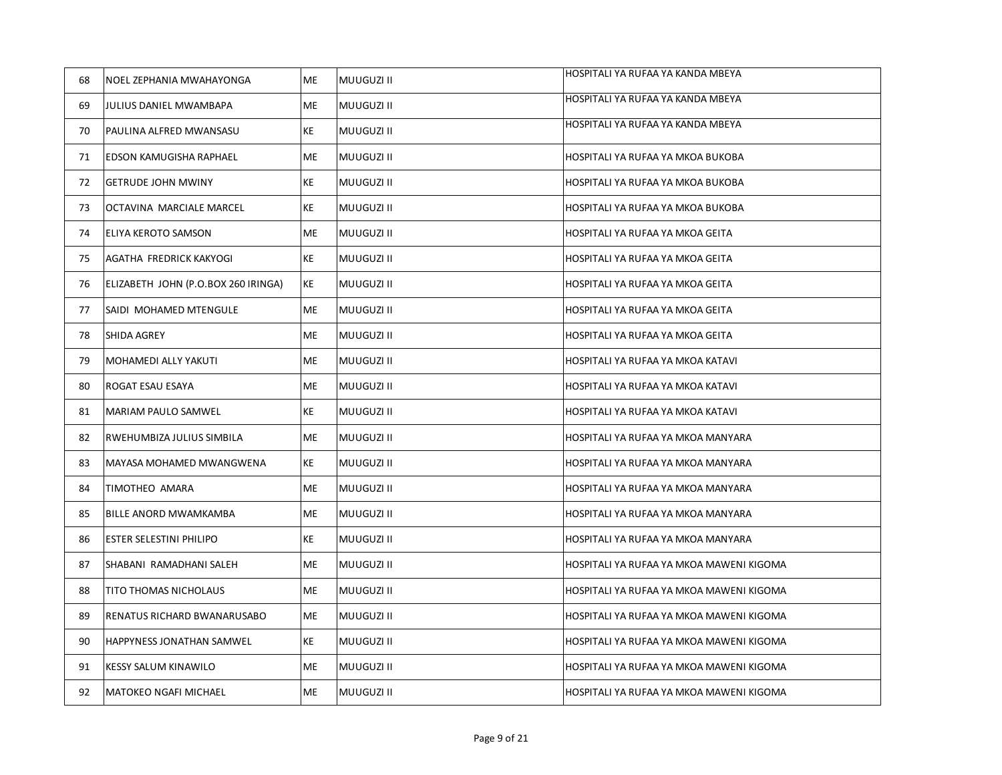| 68 | NOEL ZEPHANIA MWAHAYONGA            | ME        | MUUGUZI II        | HOSPITALI YA RUFAA YA KANDA MBEYA        |
|----|-------------------------------------|-----------|-------------------|------------------------------------------|
| 69 | JULIUS DANIEL MWAMBAPA              | ME        | <b>MUUGUZI II</b> | HOSPITALI YA RUFAA YA KANDA MBEYA        |
| 70 | PAULINA ALFRED MWANSASU             | KE        | <b>MUUGUZI II</b> | HOSPITALI YA RUFAA YA KANDA MBEYA        |
| 71 | EDSON KAMUGISHA RAPHAEL             | ME        | <b>MUUGUZI II</b> | HOSPITALI YA RUFAA YA MKOA BUKOBA        |
| 72 | <b>GETRUDE JOHN MWINY</b>           | KE        | MUUGUZI II        | HOSPITALI YA RUFAA YA MKOA BUKOBA        |
| 73 | OCTAVINA MARCIALE MARCEL            | KE        | MUUGUZI II        | HOSPITALI YA RUFAA YA MKOA BUKOBA        |
| 74 | ELIYA KEROTO SAMSON                 | <b>ME</b> | <b>MUUGUZI II</b> | HOSPITALI YA RUFAA YA MKOA GEITA         |
| 75 | AGATHA FREDRICK KAKYOGI             | KE        | <b>MUUGUZI II</b> | HOSPITALI YA RUFAA YA MKOA GEITA         |
| 76 | ELIZABETH JOHN (P.O.BOX 260 IRINGA) | KE        | <b>MUUGUZI II</b> | HOSPITALI YA RUFAA YA MKOA GEITA         |
| 77 | SAIDI MOHAMED MTENGULE              | ME        | MUUGUZI II        | HOSPITALI YA RUFAA YA MKOA GEITA         |
| 78 | SHIDA AGREY                         | ME        | <b>MUUGUZI II</b> | HOSPITALI YA RUFAA YA MKOA GEITA         |
| 79 | MOHAMEDI ALLY YAKUTI                | ME        | <b>MUUGUZI II</b> | HOSPITALI YA RUFAA YA MKOA KATAVI        |
| 80 | ROGAT ESAU ESAYA                    | <b>ME</b> | MUUGUZI II        | HOSPITALI YA RUFAA YA MKOA KATAVI        |
| 81 | MARIAM PAULO SAMWEL                 | KE        | MUUGUZI II        | HOSPITALI YA RUFAA YA MKOA KATAVI        |
| 82 | RWEHUMBIZA JULIUS SIMBILA           | ME        | MUUGUZI II        | HOSPITALI YA RUFAA YA MKOA MANYARA       |
| 83 | MAYASA MOHAMED MWANGWENA            | KE        | <b>MUUGUZI II</b> | HOSPITALI YA RUFAA YA MKOA MANYARA       |
| 84 | TIMOTHEO AMARA                      | ME        | <b>MUUGUZI II</b> | HOSPITALI YA RUFAA YA MKOA MANYARA       |
| 85 | BILLE ANORD MWAMKAMBA               | ME        | <b>MUUGUZI II</b> | HOSPITALI YA RUFAA YA MKOA MANYARA       |
| 86 | ESTER SELESTINI PHILIPO             | КE        | <b>MUUGUZI II</b> | HOSPITALI YA RUFAA YA MKOA MANYARA       |
| 87 | SHABANI RAMADHANI SALEH             | ME        | MUUGUZI II        | HOSPITALI YA RUFAA YA MKOA MAWENI KIGOMA |
| 88 | TITO THOMAS NICHOLAUS               | ME        | <b>MUUGUZI II</b> | HOSPITALI YA RUFAA YA MKOA MAWENI KIGOMA |
| 89 | RENATUS RICHARD BWANARUSABO         | ME        | MUUGUZI II        | HOSPITALI YA RUFAA YA MKOA MAWENI KIGOMA |
| 90 | HAPPYNESS JONATHAN SAMWEL           | KE        | <b>MUUGUZI II</b> | HOSPITALI YA RUFAA YA MKOA MAWENI KIGOMA |
| 91 | KESSY SALUM KINAWILO                | ME        | MUUGUZI II        | HOSPITALI YA RUFAA YA MKOA MAWENI KIGOMA |
| 92 | <b>MATOKEO NGAFI MICHAEL</b>        | ME        | MUUGUZI II        | HOSPITALI YA RUFAA YA MKOA MAWENI KIGOMA |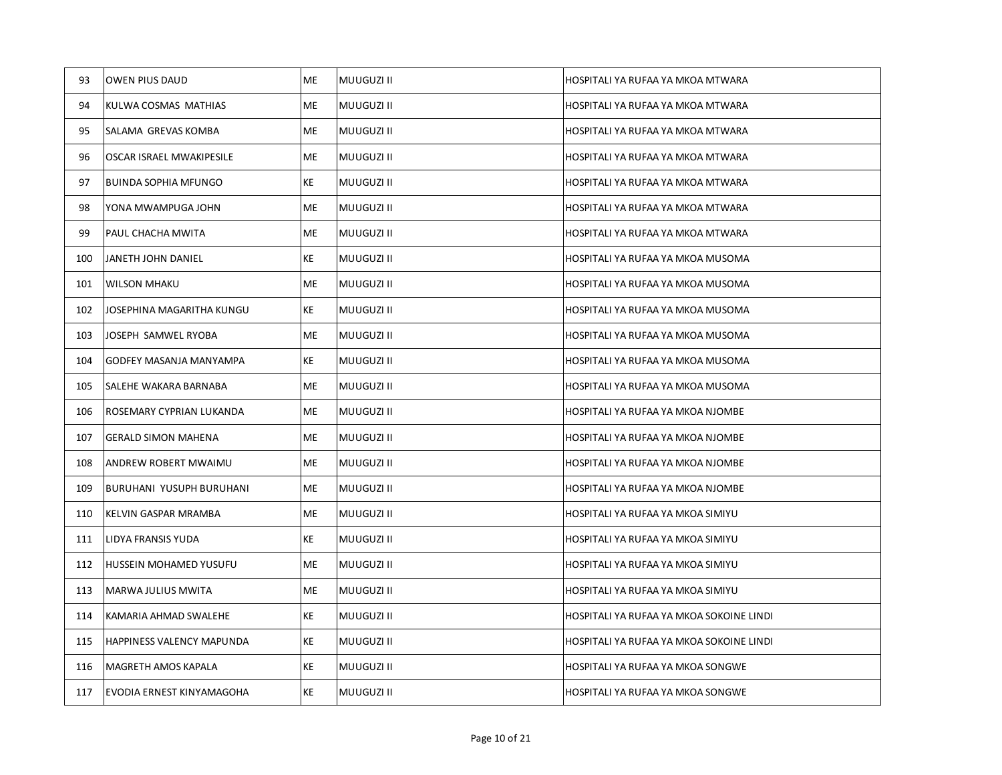| 93  | <b>OWEN PIUS DAUD</b>            | ME | MUUGUZI II | HOSPITALI YA RUFAA YA MKOA MTWARA        |
|-----|----------------------------------|----|------------|------------------------------------------|
| 94  | KULWA COSMAS MATHIAS             | ME | MUUGUZI II | HOSPITALI YA RUFAA YA MKOA MTWARA        |
| 95  | SALAMA GREVAS KOMBA              | ME | MUUGUZI II | HOSPITALI YA RUFAA YA MKOA MTWARA        |
| 96  | OSCAR ISRAEL MWAKIPESILE         | ME | MUUGUZI II | HOSPITALI YA RUFAA YA MKOA MTWARA        |
| 97  | <b>BUINDA SOPHIA MFUNGO</b>      | KE | MUUGUZI II | HOSPITALI YA RUFAA YA MKOA MTWARA        |
| 98  | YONA MWAMPUGA JOHN               | ME | MUUGUZI II | HOSPITALI YA RUFAA YA MKOA MTWARA        |
| 99  | PAUL CHACHA MWITA                | ME | MUUGUZI II | HOSPITALI YA RUFAA YA MKOA MTWARA        |
| 100 | JANETH JOHN DANIEL               | KE | MUUGUZI II | HOSPITALI YA RUFAA YA MKOA MUSOMA        |
| 101 | <b>WILSON MHAKU</b>              | ME | MUUGUZI II | HOSPITALI YA RUFAA YA MKOA MUSOMA        |
| 102 | JOSEPHINA MAGARITHA KUNGU        | KE | MUUGUZI II | HOSPITALI YA RUFAA YA MKOA MUSOMA        |
| 103 | JOSEPH SAMWEL RYOBA              | ME | MUUGUZI II | HOSPITALI YA RUFAA YA MKOA MUSOMA        |
| 104 | GODFEY MASANJA MANYAMPA          | KE | MUUGUZI II | HOSPITALI YA RUFAA YA MKOA MUSOMA        |
| 105 | SALEHE WAKARA BARNABA            | ME | MUUGUZI II | HOSPITALI YA RUFAA YA MKOA MUSOMA        |
| 106 | ROSEMARY CYPRIAN LUKANDA         | ME | MUUGUZI II | HOSPITALI YA RUFAA YA MKOA NJOMBE        |
| 107 | <b>GERALD SIMON MAHENA</b>       | ME | MUUGUZI II | HOSPITALI YA RUFAA YA MKOA NJOMBE        |
| 108 | ANDREW ROBERT MWAIMU             | ME | MUUGUZI II | HOSPITALI YA RUFAA YA MKOA NJOMBE        |
| 109 | <b>BURUHANI YUSUPH BURUHANI</b>  | ME | MUUGUZI II | HOSPITALI YA RUFAA YA MKOA NJOMBE        |
| 110 | KELVIN GASPAR MRAMBA             | ME | MUUGUZI II | HOSPITALI YA RUFAA YA MKOA SIMIYU        |
| 111 | LIDYA FRANSIS YUDA               | KE | MUUGUZI II | HOSPITALI YA RUFAA YA MKOA SIMIYU        |
| 112 | HUSSEIN MOHAMED YUSUFU           | ME | MUUGUZI II | HOSPITALI YA RUFAA YA MKOA SIMIYU        |
| 113 | MARWA JULIUS MWITA               | ME | MUUGUZI II | HOSPITALI YA RUFAA YA MKOA SIMIYU        |
| 114 | KAMARIA AHMAD SWALEHE            | KE | MUUGUZI II | HOSPITALI YA RUFAA YA MKOA SOKOINE LINDI |
| 115 | <b>HAPPINESS VALENCY MAPUNDA</b> | KE | MUUGUZI II | HOSPITALI YA RUFAA YA MKOA SOKOINE LINDI |
| 116 | MAGRETH AMOS KAPALA              | KE | MUUGUZI II | HOSPITALI YA RUFAA YA MKOA SONGWE        |
| 117 | EVODIA ERNEST KINYAMAGOHA        | KE | MUUGUZI II | HOSPITALI YA RUFAA YA MKOA SONGWE        |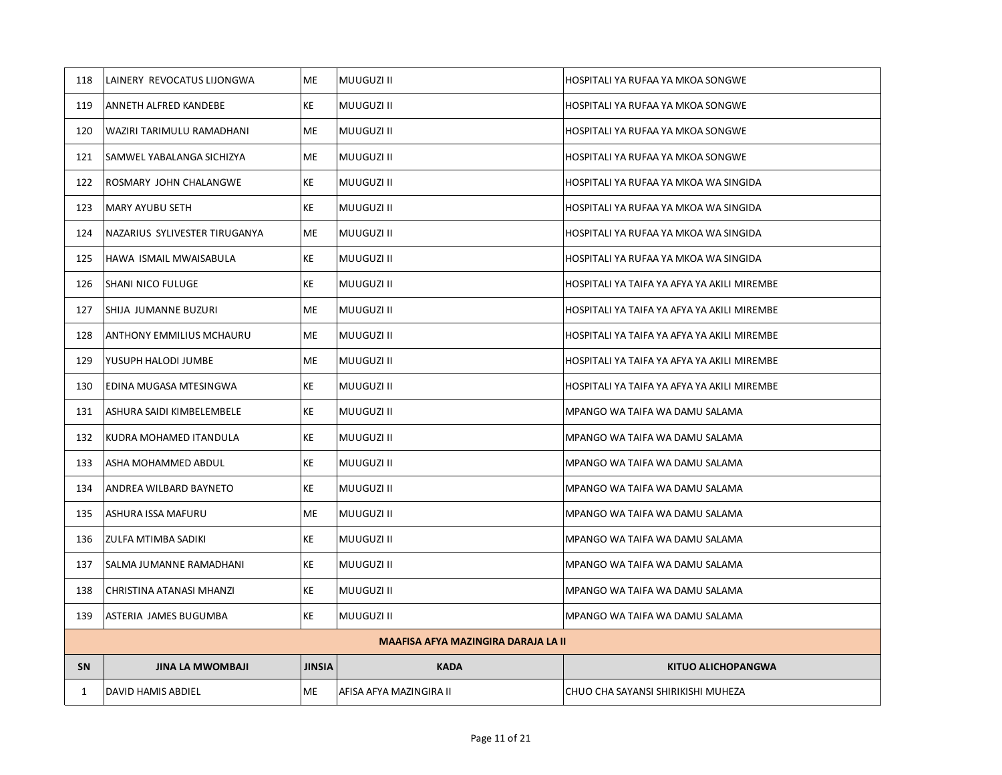| 118       | LAINERY REVOCATUS LIJONGWA      | <b>ME</b>     | MUUGUZI II                                 | HOSPITALI YA RUFAA YA MKOA SONGWE           |
|-----------|---------------------------------|---------------|--------------------------------------------|---------------------------------------------|
| 119       | ANNETH ALFRED KANDEBE           | KE            | MUUGUZI II                                 | HOSPITALI YA RUFAA YA MKOA SONGWE           |
| 120       | WAZIRI TARIMULU RAMADHANI       | ME            | MUUGUZI II                                 | HOSPITALI YA RUFAA YA MKOA SONGWE           |
| 121       | SAMWEL YABALANGA SICHIZYA       | ME            | MUUGUZI II                                 | HOSPITALI YA RUFAA YA MKOA SONGWE           |
| 122       | ROSMARY JOHN CHALANGWE          | KE            | MUUGUZI II                                 | HOSPITALI YA RUFAA YA MKOA WA SINGIDA       |
| 123       | <b>MARY AYUBU SETH</b>          | KE            | MUUGUZI II                                 | HOSPITALI YA RUFAA YA MKOA WA SINGIDA       |
| 124       | NAZARIUS SYLIVESTER TIRUGANYA   | ME            | MUUGUZI II                                 | HOSPITALI YA RUFAA YA MKOA WA SINGIDA       |
| 125       | HAWA ISMAIL MWAISABULA          | KE            | MUUGUZI II                                 | HOSPITALI YA RUFAA YA MKOA WA SINGIDA       |
| 126       | SHANI NICO FULUGE               | KE            | MUUGUZI II                                 | HOSPITALI YA TAIFA YA AFYA YA AKILI MIREMBE |
| 127       | SHIJA JUMANNE BUZURI            | <b>ME</b>     | MUUGUZI II                                 | HOSPITALI YA TAIFA YA AFYA YA AKILI MIREMBE |
| 128       | <b>ANTHONY EMMILIUS MCHAURU</b> | ME            | MUUGUZI II                                 | HOSPITALI YA TAIFA YA AFYA YA AKILI MIREMBE |
| 129       | YUSUPH HALODI JUMBE             | <b>ME</b>     | MUUGUZI II                                 | HOSPITALI YA TAIFA YA AFYA YA AKILI MIREMBE |
| 130       | EDINA MUGASA MTESINGWA          | KE            | MUUGUZI II                                 | HOSPITALI YA TAIFA YA AFYA YA AKILI MIREMBE |
| 131       | ASHURA SAIDI KIMBELEMBELE       | KE            | <b>MUUGUZI II</b>                          | MPANGO WA TAIFA WA DAMU SALAMA              |
| 132       | KUDRA MOHAMED ITANDULA          | KE            | MUUGUZI II                                 | MPANGO WA TAIFA WA DAMU SALAMA              |
| 133       | ASHA MOHAMMED ABDUL             | KE            | MUUGUZI II                                 | MPANGO WA TAIFA WA DAMU SALAMA              |
| 134       | ANDREA WILBARD BAYNETO          | KE            | MUUGUZI II                                 | MPANGO WA TAIFA WA DAMU SALAMA              |
| 135       | ASHURA ISSA MAFURU              | ME            | <b>MUUGUZI II</b>                          | MPANGO WA TAIFA WA DAMU SALAMA              |
| 136       | ZULFA MTIMBA SADIKI             | <b>KE</b>     | MUUGUZI II                                 | MPANGO WA TAIFA WA DAMU SALAMA              |
| 137       | SALMA JUMANNE RAMADHANI         | KE            | <b>MUUGUZI II</b>                          | MPANGO WA TAIFA WA DAMU SALAMA              |
| 138       | CHRISTINA ATANASI MHANZI        | KE            | MUUGUZI II                                 | MPANGO WA TAIFA WA DAMU SALAMA              |
| 139       | ASTERIA JAMES BUGUMBA           | KE            | <b>MUUGUZI II</b>                          | MPANGO WA TAIFA WA DAMU SALAMA              |
|           |                                 |               | <b>MAAFISA AFYA MAZINGIRA DARAJA LA II</b> |                                             |
| <b>SN</b> | <b>JINA LA MWOMBAJI</b>         | <b>JINSIA</b> | <b>KADA</b>                                | <b>KITUO ALICHOPANGWA</b>                   |
| 1         | DAVID HAMIS ABDIEL              | ME            | AFISA AFYA MAZINGIRA II                    | CHUO CHA SAYANSI SHIRIKISHI MUHEZA          |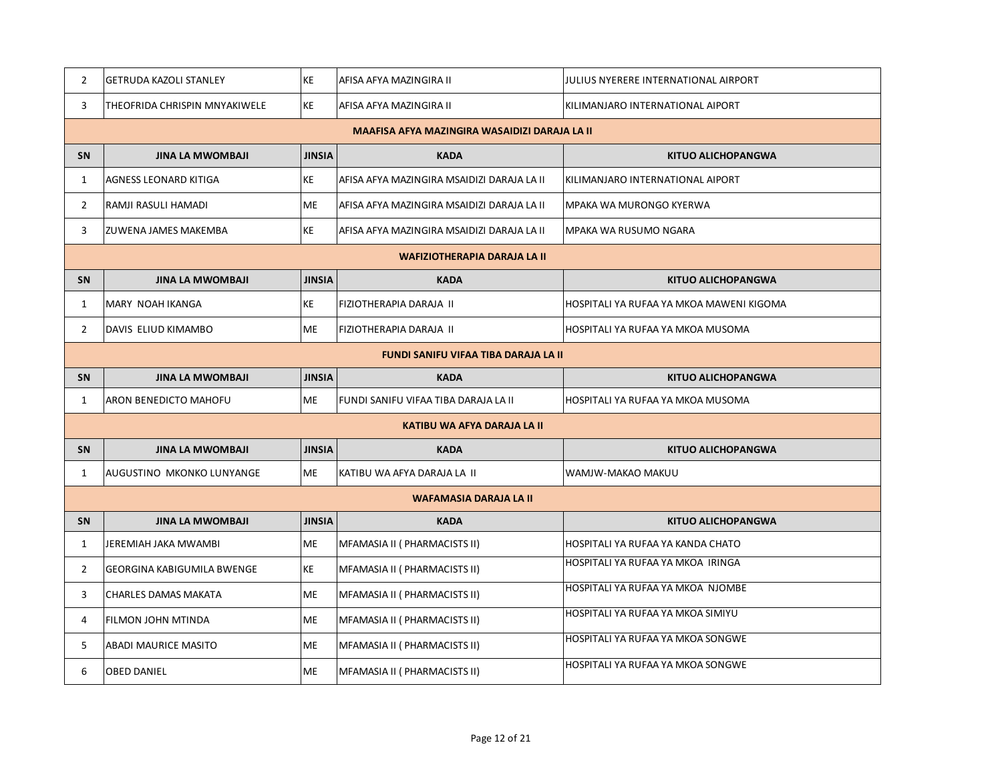| $\overline{2}$ | <b>GETRUDA KAZOLI STANLEY</b>                 | <b>KE</b>     | AFISA AFYA MAZINGIRA II                     | JULIUS NYERERE INTERNATIONAL AIRPORT     |  |  |
|----------------|-----------------------------------------------|---------------|---------------------------------------------|------------------------------------------|--|--|
| 3              | THEOFRIDA CHRISPIN MNYAKIWELE                 | <b>KE</b>     | AFISA AFYA MAZINGIRA II                     | KILIMANJARO INTERNATIONAL AIPORT         |  |  |
|                | MAAFISA AFYA MAZINGIRA WASAIDIZI DARAJA LA II |               |                                             |                                          |  |  |
| SN             | <b>JINA LA MWOMBAJI</b>                       | <b>JINSIA</b> | <b>KADA</b>                                 | <b>KITUO ALICHOPANGWA</b>                |  |  |
| 1              | AGNESS LEONARD KITIGA                         | ΚE            | AFISA AFYA MAZINGIRA MSAIDIZI DARAJA LA II  | KILIMANJARO INTERNATIONAL AIPORT         |  |  |
| $\overline{2}$ | RAMJI RASULI HAMADI                           | <b>ME</b>     | AFISA AFYA MAZINGIRA MSAIDIZI DARAJA LA II  | MPAKA WA MURONGO KYERWA                  |  |  |
| 3              | ZUWENA JAMES MAKEMBA                          | KE            | AFISA AFYA MAZINGIRA MSAIDIZI DARAJA LA II  | MPAKA WA RUSUMO NGARA                    |  |  |
|                | <b>WAFIZIOTHERAPIA DARAJA LA II</b>           |               |                                             |                                          |  |  |
| <b>SN</b>      | <b>JINA LA MWOMBAJI</b>                       | <b>JINSIA</b> | <b>KADA</b>                                 | <b>KITUO ALICHOPANGWA</b>                |  |  |
| 1              | MARY NOAH IKANGA                              | ΚE            | FIZIOTHERAPIA DARAJA II                     | HOSPITALI YA RUFAA YA MKOA MAWENI KIGOMA |  |  |
| $\overline{2}$ | DAVIS ELIUD KIMAMBO                           | ME            | FIZIOTHERAPIA DARAJA II                     | HOSPITALI YA RUFAA YA MKOA MUSOMA        |  |  |
|                |                                               |               | <b>FUNDI SANIFU VIFAA TIBA DARAJA LA II</b> |                                          |  |  |
| <b>SN</b>      | <b>JINA LA MWOMBAJI</b>                       | <b>JINSIA</b> | <b>KADA</b>                                 | <b>KITUO ALICHOPANGWA</b>                |  |  |
| 1              | ARON BENEDICTO MAHOFU                         | <b>ME</b>     | FUNDI SANIFU VIFAA TIBA DARAJA LA II        | HOSPITALI YA RUFAA YA MKOA MUSOMA        |  |  |
|                |                                               |               | KATIBU WA AFYA DARAJA LA II                 |                                          |  |  |
| SN             | <b>JINA LA MWOMBAJI</b>                       | <b>JINSIA</b> | <b>KADA</b>                                 | <b>KITUO ALICHOPANGWA</b>                |  |  |
| $\mathbf{1}$   | AUGUSTINO MKONKO LUNYANGE                     | <b>ME</b>     | KATIBU WA AFYA DARAJA LA II                 | WAMJW-MAKAO MAKUU                        |  |  |
|                |                                               |               | <b>WAFAMASIA DARAJA LA II</b>               |                                          |  |  |
| SN             | <b>JINA LA MWOMBAJI</b>                       | <b>JINSIA</b> | <b>KADA</b>                                 | <b>KITUO ALICHOPANGWA</b>                |  |  |
| $\mathbf{1}$   | JEREMIAH JAKA MWAMBI                          | <b>ME</b>     | MFAMASIA II ( PHARMACISTS II)               | HOSPITALI YA RUFAA YA KANDA CHATO        |  |  |
| $\overline{2}$ | GEORGINA KABIGUMILA BWENGE                    | KE            | MFAMASIA II ( PHARMACISTS II)               | HOSPITALI YA RUFAA YA MKOA IRINGA        |  |  |
| 3              | CHARLES DAMAS MAKATA                          | ME            | MFAMASIA II ( PHARMACISTS II)               | HOSPITALI YA RUFAA YA MKOA NJOMBE        |  |  |
| 4              | FILMON JOHN MTINDA                            | <b>ME</b>     | MFAMASIA II ( PHARMACISTS II)               | HOSPITALI YA RUFAA YA MKOA SIMIYU        |  |  |
| 5              | ABADI MAURICE MASITO                          | <b>ME</b>     | MFAMASIA II ( PHARMACISTS II)               | HOSPITALI YA RUFAA YA MKOA SONGWE        |  |  |
| 6              | <b>OBED DANIEL</b>                            | <b>ME</b>     | MFAMASIA II ( PHARMACISTS II)               | HOSPITALI YA RUFAA YA MKOA SONGWE        |  |  |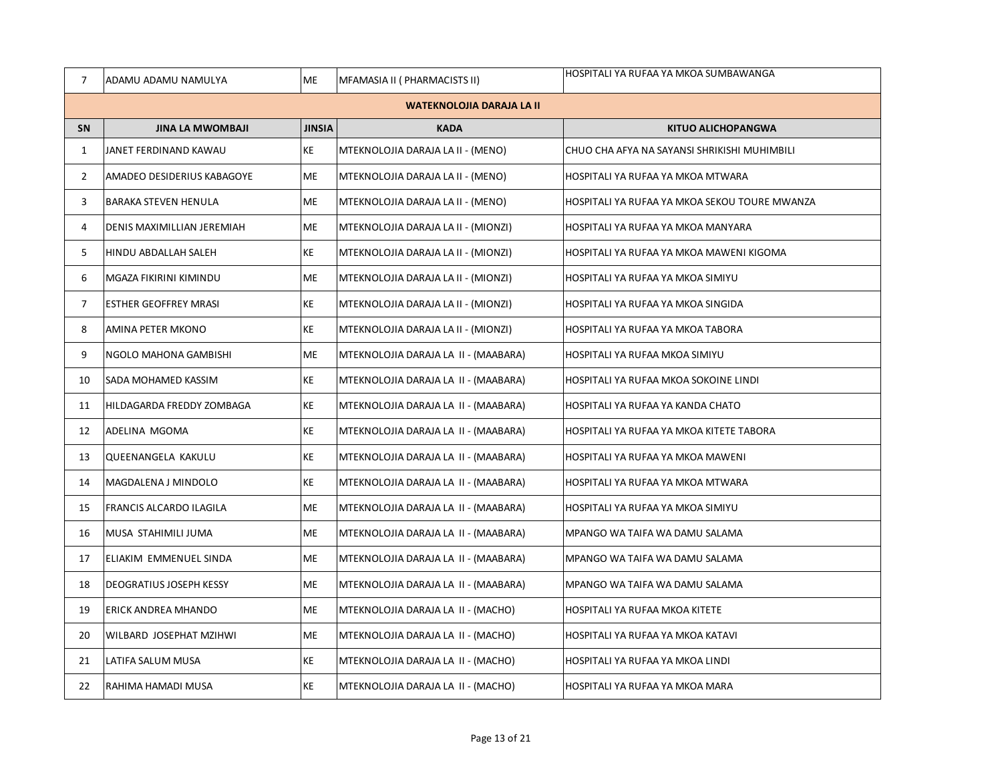| $\overline{7}$ | ADAMU ADAMU NAMULYA              | ME            | MFAMASIA II ( PHARMACISTS II)        | HOSPITALI YA RUFAA YA MKOA SUMBAWANGA         |  |  |
|----------------|----------------------------------|---------------|--------------------------------------|-----------------------------------------------|--|--|
|                | <b>WATEKNOLOJIA DARAJA LA II</b> |               |                                      |                                               |  |  |
| SN             | <b>JINA LA MWOMBAJI</b>          | <b>JINSIA</b> | <b>KADA</b>                          | <b>KITUO ALICHOPANGWA</b>                     |  |  |
| 1              | JANET FERDINAND KAWAU            | KE            | MTEKNOLOJIA DARAJA LA II - (MENO)    | CHUO CHA AFYA NA SAYANSI SHRIKISHI MUHIMBILI  |  |  |
| $\overline{2}$ | AMADEO DESIDERIUS KABAGOYE       | ME            | MTEKNOLOJIA DARAJA LA II - (MENO)    | HOSPITALI YA RUFAA YA MKOA MTWARA             |  |  |
| 3              | <b>BARAKA STEVEN HENULA</b>      | ME            | MTEKNOLOJIA DARAJA LA II - (MENO)    | HOSPITALI YA RUFAA YA MKOA SEKOU TOURE MWANZA |  |  |
| 4              | DENIS MAXIMILLIAN JEREMIAH       | ME            | MTEKNOLOJIA DARAJA LA II - (MIONZI)  | HOSPITALI YA RUFAA YA MKOA MANYARA            |  |  |
| 5              | HINDU ABDALLAH SALEH             | KE            | MTEKNOLOJIA DARAJA LA II - (MIONZI)  | HOSPITALI YA RUFAA YA MKOA MAWENI KIGOMA      |  |  |
| 6              | MGAZA FIKIRINI KIMINDU           | ME            | MTEKNOLOJIA DARAJA LA II - (MIONZI)  | HOSPITALI YA RUFAA YA MKOA SIMIYU             |  |  |
| $\overline{7}$ | ESTHER GEOFFREY MRASI            | KE            | MTEKNOLOJIA DARAJA LA II - (MIONZI)  | HOSPITALI YA RUFAA YA MKOA SINGIDA            |  |  |
| 8              | AMINA PETER MKONO                | KE            | MTEKNOLOJIA DARAJA LA II - (MIONZI)  | HOSPITALI YA RUFAA YA MKOA TABORA             |  |  |
| 9              | NGOLO MAHONA GAMBISHI            | ME            | MTEKNOLOJIA DARAJA LA II - (MAABARA) | HOSPITALI YA RUFAA MKOA SIMIYU                |  |  |
| 10             | SADA MOHAMED KASSIM              | KE            | MTEKNOLOJIA DARAJA LA II - (MAABARA) | HOSPITALI YA RUFAA MKOA SOKOINE LINDI         |  |  |
| 11             | HILDAGARDA FREDDY ZOMBAGA        | KE            | MTEKNOLOJIA DARAJA LA II - (MAABARA) | HOSPITALI YA RUFAA YA KANDA CHATO             |  |  |
| 12             | ADELINA MGOMA                    | KE            | MTEKNOLOJIA DARAJA LA II - (MAABARA) | HOSPITALI YA RUFAA YA MKOA KITETE TABORA      |  |  |
| 13             | QUEENANGELA KAKULU               | KE            | MTEKNOLOJIA DARAJA LA II - (MAABARA) | HOSPITALI YA RUFAA YA MKOA MAWENI             |  |  |
| 14             | MAGDALENA J MINDOLO              | KE            | MTEKNOLOJIA DARAJA LA II - (MAABARA) | HOSPITALI YA RUFAA YA MKOA MTWARA             |  |  |
| 15             | FRANCIS ALCARDO ILAGILA          | ME            | MTEKNOLOJIA DARAJA LA II - (MAABARA) | HOSPITALI YA RUFAA YA MKOA SIMIYU             |  |  |
| 16             | MUSA STAHIMILI JUMA              | ME            | MTEKNOLOJIA DARAJA LA II - (MAABARA) | MPANGO WA TAIFA WA DAMU SALAMA                |  |  |
| 17             | ELIAKIM EMMENUEL SINDA           | ME            | MTEKNOLOJIA DARAJA LA II - (MAABARA) | MPANGO WA TAIFA WA DAMU SALAMA                |  |  |
| 18             | DEOGRATIUS JOSEPH KESSY          | ME            | MTEKNOLOJIA DARAJA LA II - (MAABARA) | MPANGO WA TAIFA WA DAMU SALAMA                |  |  |
| 19             | ERICK ANDREA MHANDO              | ME            | MTEKNOLOJIA DARAJA LA II - (MACHO)   | HOSPITALI YA RUFAA MKOA KITETE                |  |  |
| 20             | WILBARD JOSEPHAT MZIHWI          | ME            | MTEKNOLOJIA DARAJA LA II - (MACHO)   | HOSPITALI YA RUFAA YA MKOA KATAVI             |  |  |
| 21             | LATIFA SALUM MUSA                | KE            | MTEKNOLOJIA DARAJA LA II - (MACHO)   | HOSPITALI YA RUFAA YA MKOA LINDI              |  |  |
| 22             | RAHIMA HAMADI MUSA               | KE            | MTEKNOLOJIA DARAJA LA II - (MACHO)   | HOSPITALI YA RUFAA YA MKOA MARA               |  |  |
|                |                                  |               |                                      |                                               |  |  |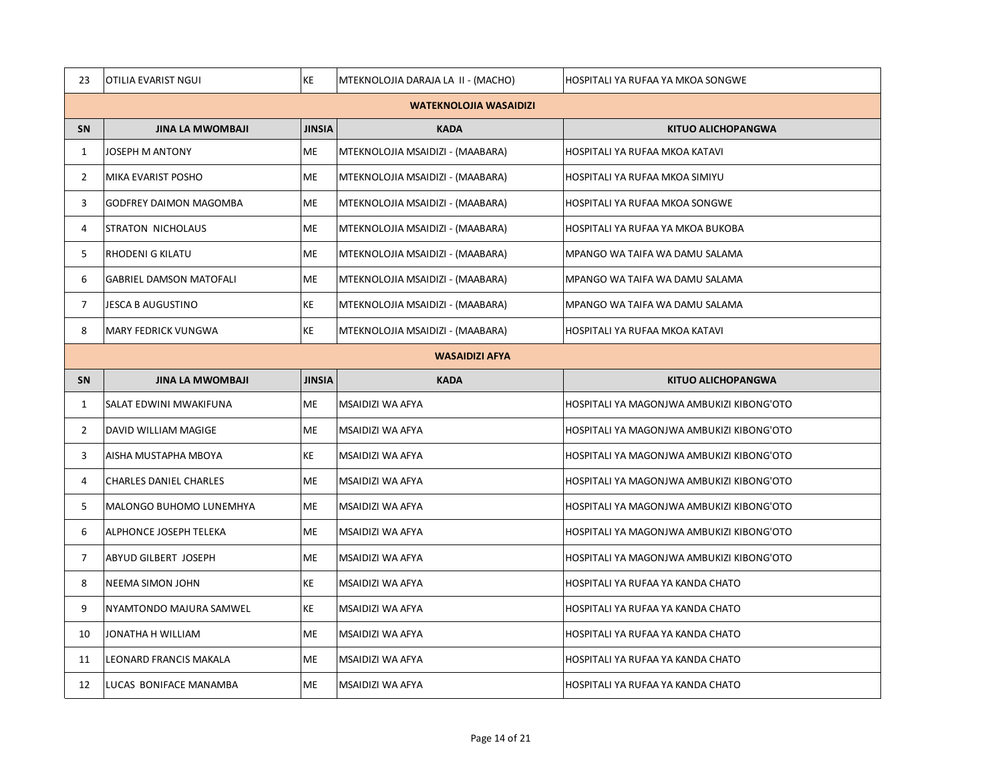| 23             | OTILIA EVARIST NGUI            | KE            | MTEKNOLOJIA DARAJA LA II - (MACHO) | HOSPITALI YA RUFAA YA MKOA SONGWE         |  |  |
|----------------|--------------------------------|---------------|------------------------------------|-------------------------------------------|--|--|
|                | <b>WATEKNOLOJIA WASAIDIZI</b>  |               |                                    |                                           |  |  |
| SN             | <b>JINA LA MWOMBAJI</b>        | <b>JINSIA</b> | <b>KADA</b>                        | <b>KITUO ALICHOPANGWA</b>                 |  |  |
| $\mathbf{1}$   | <b>JOSEPH M ANTONY</b>         | ME            | MTEKNOLOJIA MSAIDIZI - (MAABARA)   | HOSPITALI YA RUFAA MKOA KATAVI            |  |  |
| $\overline{2}$ | MIKA EVARIST POSHO             | <b>ME</b>     | MTEKNOLOJIA MSAIDIZI - (MAABARA)   | HOSPITALI YA RUFAA MKOA SIMIYU            |  |  |
| 3              | GODFREY DAIMON MAGOMBA         | <b>ME</b>     | MTEKNOLOJIA MSAIDIZI - (MAABARA)   | HOSPITALI YA RUFAA MKOA SONGWE            |  |  |
| 4              | STRATON NICHOLAUS              | ME            | MTEKNOLOJIA MSAIDIZI - (MAABARA)   | HOSPITALI YA RUFAA YA MKOA BUKOBA         |  |  |
| 5              | RHODENI G KILATU               | <b>ME</b>     | MTEKNOLOJIA MSAIDIZI - (MAABARA)   | MPANGO WA TAIFA WA DAMU SALAMA            |  |  |
| 6              | <b>GABRIEL DAMSON MATOFALI</b> | <b>ME</b>     | MTEKNOLOJIA MSAIDIZI - (MAABARA)   | MPANGO WA TAIFA WA DAMU SALAMA            |  |  |
| $\overline{7}$ | JESCA B AUGUSTINO              | KE            | MTEKNOLOJIA MSAIDIZI - (MAABARA)   | MPANGO WA TAIFA WA DAMU SALAMA            |  |  |
| 8              | MARY FEDRICK VUNGWA            | KE            | MTEKNOLOJIA MSAIDIZI - (MAABARA)   | HOSPITALI YA RUFAA MKOA KATAVI            |  |  |
|                | <b>WASAIDIZI AFYA</b>          |               |                                    |                                           |  |  |
| <b>SN</b>      | <b>JINA LA MWOMBAJI</b>        | <b>JINSIA</b> | <b>KADA</b>                        | <b>KITUO ALICHOPANGWA</b>                 |  |  |
| $\mathbf{1}$   | SALAT EDWINI MWAKIFUNA         | ME            | MSAIDIZI WA AFYA                   | HOSPITALI YA MAGONJWA AMBUKIZI KIBONG'OTO |  |  |
| $\overline{2}$ | DAVID WILLIAM MAGIGE           | ME            | MSAIDIZI WA AFYA                   | HOSPITALI YA MAGONJWA AMBUKIZI KIBONG'OTO |  |  |
| 3              | AISHA MUSTAPHA MBOYA           | KE            | MSAIDIZI WA AFYA                   | HOSPITALI YA MAGONJWA AMBUKIZI KIBONG'OTO |  |  |
| $\overline{4}$ | <b>CHARLES DANIEL CHARLES</b>  | <b>ME</b>     | MSAIDIZI WA AFYA                   | HOSPITALI YA MAGONJWA AMBUKIZI KIBONG'OTO |  |  |
| 5              | MALONGO BUHOMO LUNEMHYA        | <b>ME</b>     | MSAIDIZI WA AFYA                   | HOSPITALI YA MAGONJWA AMBUKIZI KIBONG'OTO |  |  |
| 6              | ALPHONCE JOSEPH TELEKA         | <b>ME</b>     | MSAIDIZI WA AFYA                   | HOSPITALI YA MAGONJWA AMBUKIZI KIBONG'OTO |  |  |
| $\overline{7}$ | ABYUD GILBERT JOSEPH           | ME            | MSAIDIZI WA AFYA                   | HOSPITALI YA MAGONJWA AMBUKIZI KIBONG'OTO |  |  |
| 8              | NEEMA SIMON JOHN               | KE            | MSAIDIZI WA AFYA                   | HOSPITALI YA RUFAA YA KANDA CHATO         |  |  |
| 9              | NYAMTONDO MAJURA SAMWEL        | KE            | MSAIDIZI WA AFYA                   | HOSPITALI YA RUFAA YA KANDA CHATO         |  |  |
| 10             | JONATHA H WILLIAM              | <b>ME</b>     | MSAIDIZI WA AFYA                   | HOSPITALI YA RUFAA YA KANDA CHATO         |  |  |
| 11             | LEONARD FRANCIS MAKALA         | <b>ME</b>     | MSAIDIZI WA AFYA                   | HOSPITALI YA RUFAA YA KANDA CHATO         |  |  |
| 12             | LUCAS BONIFACE MANAMBA         | <b>ME</b>     | MSAIDIZI WA AFYA                   | HOSPITALI YA RUFAA YA KANDA CHATO         |  |  |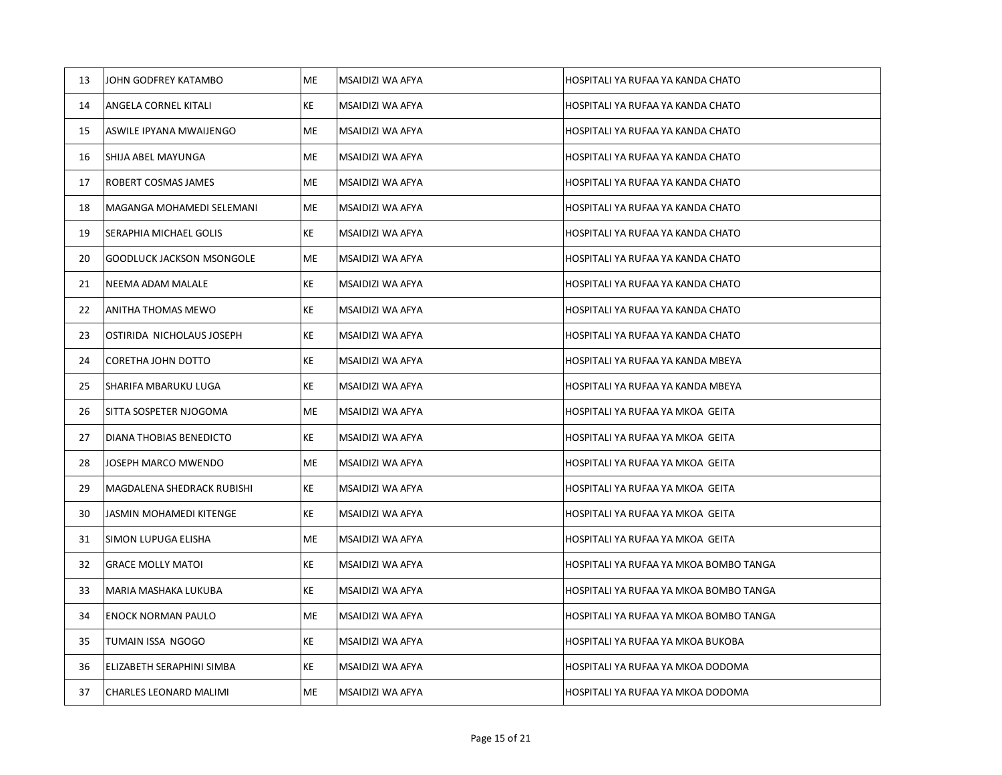| 13 | JOHN GODFREY KATAMBO             | ME | MSAIDIZI WA AFYA | HOSPITALI YA RUFAA YA KANDA CHATO      |
|----|----------------------------------|----|------------------|----------------------------------------|
| 14 | ANGELA CORNEL KITALI             | KE | MSAIDIZI WA AFYA | HOSPITALI YA RUFAA YA KANDA CHATO      |
| 15 | ASWILE IPYANA MWAIJENGO          | ME | MSAIDIZI WA AFYA | HOSPITALI YA RUFAA YA KANDA CHATO      |
| 16 | SHIJA ABEL MAYUNGA               | ME | MSAIDIZI WA AFYA | HOSPITALI YA RUFAA YA KANDA CHATO      |
| 17 | ROBERT COSMAS JAMES              | ME | MSAIDIZI WA AFYA | HOSPITALI YA RUFAA YA KANDA CHATO      |
| 18 | MAGANGA MOHAMEDI SELEMANI        | ME | MSAIDIZI WA AFYA | HOSPITALI YA RUFAA YA KANDA CHATO      |
| 19 | SERAPHIA MICHAEL GOLIS           | KE | MSAIDIZI WA AFYA | HOSPITALI YA RUFAA YA KANDA CHATO      |
| 20 | <b>GOODLUCK JACKSON MSONGOLE</b> | ME | MSAIDIZI WA AFYA | HOSPITALI YA RUFAA YA KANDA CHATO      |
| 21 | NEEMA ADAM MALALE                | KE | MSAIDIZI WA AFYA | HOSPITALI YA RUFAA YA KANDA CHATO      |
| 22 | ANITHA THOMAS MEWO               | KE | MSAIDIZI WA AFYA | HOSPITALI YA RUFAA YA KANDA CHATO      |
| 23 | OSTIRIDA NICHOLAUS JOSEPH        | KE | MSAIDIZI WA AFYA | HOSPITALI YA RUFAA YA KANDA CHATO      |
| 24 | CORETHA JOHN DOTTO               | KE | MSAIDIZI WA AFYA | HOSPITALI YA RUFAA YA KANDA MBEYA      |
| 25 | SHARIFA MBARUKU LUGA             | KE | MSAIDIZI WA AFYA | HOSPITALI YA RUFAA YA KANDA MBEYA      |
| 26 | SITTA SOSPETER NJOGOMA           | ME | MSAIDIZI WA AFYA | HOSPITALI YA RUFAA YA MKOA GEITA       |
| 27 | DIANA THOBIAS BENEDICTO          | KE | MSAIDIZI WA AFYA | HOSPITALI YA RUFAA YA MKOA GEITA       |
| 28 | JOSEPH MARCO MWENDO              | ME | MSAIDIZI WA AFYA | HOSPITALI YA RUFAA YA MKOA GEITA       |
| 29 | MAGDALENA SHEDRACK RUBISHI       | KE | MSAIDIZI WA AFYA | HOSPITALI YA RUFAA YA MKOA GEITA       |
| 30 | JASMIN MOHAMEDI KITENGE          | KE | MSAIDIZI WA AFYA | HOSPITALI YA RUFAA YA MKOA GEITA       |
| 31 | SIMON LUPUGA ELISHA              | ME | MSAIDIZI WA AFYA | HOSPITALI YA RUFAA YA MKOA GEITA       |
| 32 | <b>GRACE MOLLY MATOI</b>         | KE | MSAIDIZI WA AFYA | HOSPITALI YA RUFAA YA MKOA BOMBO TANGA |
| 33 | MARIA MASHAKA LUKUBA             | KE | MSAIDIZI WA AFYA | HOSPITALI YA RUFAA YA MKOA BOMBO TANGA |
| 34 | <b>ENOCK NORMAN PAULO</b>        | ME | MSAIDIZI WA AFYA | HOSPITALI YA RUFAA YA MKOA BOMBO TANGA |
| 35 | TUMAIN ISSA NGOGO                | KE | MSAIDIZI WA AFYA | HOSPITALI YA RUFAA YA MKOA BUKOBA      |
| 36 | ELIZABETH SERAPHINI SIMBA        | KE | MSAIDIZI WA AFYA | HOSPITALI YA RUFAA YA MKOA DODOMA      |
| 37 | CHARLES LEONARD MALIMI           | ME | MSAIDIZI WA AFYA | HOSPITALI YA RUFAA YA MKOA DODOMA      |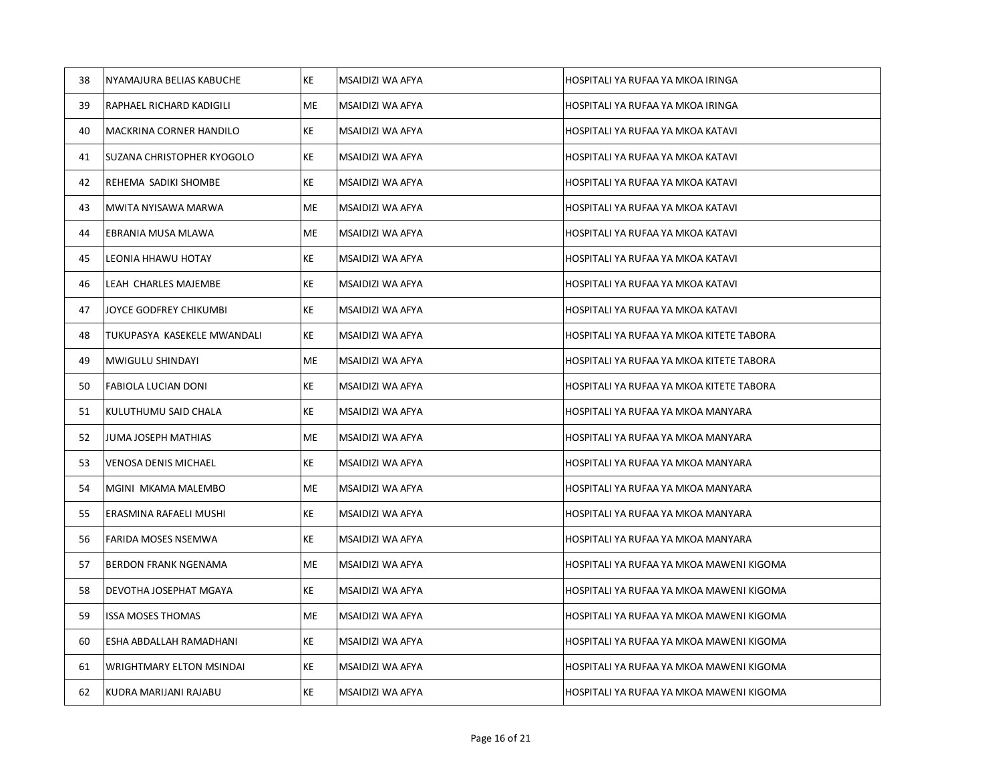| 38 | NYAMAJURA BELIAS KABUCHE    | KE | MSAIDIZI WA AFYA | HOSPITALI YA RUFAA YA MKOA IRINGA        |
|----|-----------------------------|----|------------------|------------------------------------------|
| 39 | RAPHAEL RICHARD KADIGILI    | ME | MSAIDIZI WA AFYA | HOSPITALI YA RUFAA YA MKOA IRINGA        |
| 40 | MACKRINA CORNER HANDILO     | KE | MSAIDIZI WA AFYA | HOSPITALI YA RUFAA YA MKOA KATAVI        |
| 41 | SUZANA CHRISTOPHER KYOGOLO  | KE | MSAIDIZI WA AFYA | HOSPITALI YA RUFAA YA MKOA KATAVI        |
| 42 | REHEMA SADIKI SHOMBE        | KE | MSAIDIZI WA AFYA | HOSPITALI YA RUFAA YA MKOA KATAVI        |
| 43 | MWITA NYISAWA MARWA         | ME | MSAIDIZI WA AFYA | HOSPITALI YA RUFAA YA MKOA KATAVI        |
| 44 | EBRANIA MUSA MLAWA          | ME | MSAIDIZI WA AFYA | HOSPITALI YA RUFAA YA MKOA KATAVI        |
| 45 | LEONIA HHAWU HOTAY          | KE | MSAIDIZI WA AFYA | HOSPITALI YA RUFAA YA MKOA KATAVI        |
| 46 | LEAH CHARLES MAJEMBE        | KE | MSAIDIZI WA AFYA | HOSPITALI YA RUFAA YA MKOA KATAVI        |
| 47 | JOYCE GODFREY CHIKUMBI      | KE | MSAIDIZI WA AFYA | HOSPITALI YA RUFAA YA MKOA KATAVI        |
| 48 | TUKUPASYA KASEKELE MWANDALI | KE | MSAIDIZI WA AFYA | HOSPITALI YA RUFAA YA MKOA KITETE TABORA |
| 49 | MWIGULU SHINDAYI            | МE | MSAIDIZI WA AFYA | HOSPITALI YA RUFAA YA MKOA KITETE TABORA |
| 50 | <b>FABIOLA LUCIAN DONI</b>  | KE | MSAIDIZI WA AFYA | HOSPITALI YA RUFAA YA MKOA KITETE TABORA |
| 51 | KULUTHUMU SAID CHALA        | KE | MSAIDIZI WA AFYA | HOSPITALI YA RUFAA YA MKOA MANYARA       |
| 52 | JUMA JOSEPH MATHIAS         | ME | MSAIDIZI WA AFYA | HOSPITALI YA RUFAA YA MKOA MANYARA       |
| 53 | <b>VENOSA DENIS MICHAEL</b> | KE | MSAIDIZI WA AFYA | HOSPITALI YA RUFAA YA MKOA MANYARA       |
| 54 | MGINI MKAMA MALEMBO         | ME | MSAIDIZI WA AFYA | HOSPITALI YA RUFAA YA MKOA MANYARA       |
| 55 | ERASMINA RAFAELI MUSHI      | KE | MSAIDIZI WA AFYA | HOSPITALI YA RUFAA YA MKOA MANYARA       |
| 56 | FARIDA MOSES NSEMWA         | KE | MSAIDIZI WA AFYA | HOSPITALI YA RUFAA YA MKOA MANYARA       |
| 57 | <b>BERDON FRANK NGENAMA</b> | ME | MSAIDIZI WA AFYA | HOSPITALI YA RUFAA YA MKOA MAWENI KIGOMA |
| 58 | DEVOTHA JOSEPHAT MGAYA      | KE | MSAIDIZI WA AFYA | HOSPITALI YA RUFAA YA MKOA MAWENI KIGOMA |
| 59 | <b>ISSA MOSES THOMAS</b>    | ME | MSAIDIZI WA AFYA | HOSPITALI YA RUFAA YA MKOA MAWENI KIGOMA |
| 60 | ESHA ABDALLAH RAMADHANI     | KE | MSAIDIZI WA AFYA | HOSPITALI YA RUFAA YA MKOA MAWENI KIGOMA |
| 61 | WRIGHTMARY ELTON MSINDAI    | KE | MSAIDIZI WA AFYA | HOSPITALI YA RUFAA YA MKOA MAWENI KIGOMA |
| 62 | KUDRA MARIJANI RAJABU       | KE | MSAIDIZI WA AFYA | HOSPITALI YA RUFAA YA MKOA MAWENI KIGOMA |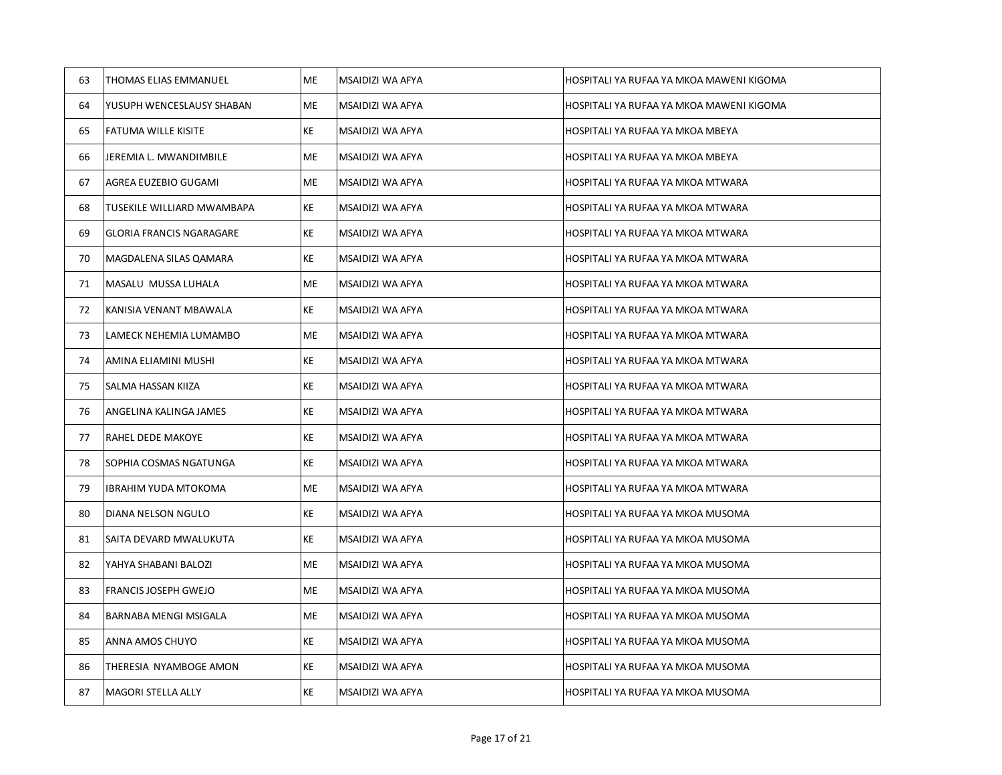| 63 | <b>THOMAS ELIAS EMMANUEL</b>    | <b>ME</b> | MSAIDIZI WA AFYA | HOSPITALI YA RUFAA YA MKOA MAWENI KIGOMA |
|----|---------------------------------|-----------|------------------|------------------------------------------|
| 64 | YUSUPH WENCESLAUSY SHABAN       | ME        | MSAIDIZI WA AFYA | HOSPITALI YA RUFAA YA MKOA MAWENI KIGOMA |
| 65 | FATUMA WILLE KISITE             | KE        | MSAIDIZI WA AFYA | HOSPITALI YA RUFAA YA MKOA MBEYA         |
| 66 | JEREMIA L. MWANDIMBILE          | ME.       | MSAIDIZI WA AFYA | HOSPITALI YA RUFAA YA MKOA MBEYA         |
| 67 | AGREA EUZEBIO GUGAMI            | ME        | MSAIDIZI WA AFYA | HOSPITALI YA RUFAA YA MKOA MTWARA        |
| 68 | TUSEKILE WILLIARD MWAMBAPA      | KE        | MSAIDIZI WA AFYA | HOSPITALI YA RUFAA YA MKOA MTWARA        |
| 69 | <b>GLORIA FRANCIS NGARAGARE</b> | KE        | MSAIDIZI WA AFYA | HOSPITALI YA RUFAA YA MKOA MTWARA        |
| 70 | MAGDALENA SILAS QAMARA          | KE        | MSAIDIZI WA AFYA | HOSPITALI YA RUFAA YA MKOA MTWARA        |
| 71 | MASALU MUSSA LUHALA             | ME        | MSAIDIZI WA AFYA | HOSPITALI YA RUFAA YA MKOA MTWARA        |
| 72 | KANISIA VENANT MBAWALA          | KE        | MSAIDIZI WA AFYA | HOSPITALI YA RUFAA YA MKOA MTWARA        |
| 73 | LAMECK NEHEMIA LUMAMBO          | ME        | MSAIDIZI WA AFYA | HOSPITALI YA RUFAA YA MKOA MTWARA        |
| 74 | AMINA ELIAMINI MUSHI            | KE        | MSAIDIZI WA AFYA | HOSPITALI YA RUFAA YA MKOA MTWARA        |
| 75 | SALMA HASSAN KIIZA              | KE        | MSAIDIZI WA AFYA | HOSPITALI YA RUFAA YA MKOA MTWARA        |
| 76 | ANGELINA KALINGA JAMES          | KE        | MSAIDIZI WA AFYA | HOSPITALI YA RUFAA YA MKOA MTWARA        |
| 77 | RAHEL DEDE MAKOYE               | KE        | MSAIDIZI WA AFYA | HOSPITALI YA RUFAA YA MKOA MTWARA        |
| 78 | SOPHIA COSMAS NGATUNGA          | KE        | MSAIDIZI WA AFYA | HOSPITALI YA RUFAA YA MKOA MTWARA        |
| 79 | IBRAHIM YUDA MTOKOMA            | ME        | MSAIDIZI WA AFYA | HOSPITALI YA RUFAA YA MKOA MTWARA        |
| 80 | DIANA NELSON NGULO              | KE        | MSAIDIZI WA AFYA | HOSPITALI YA RUFAA YA MKOA MUSOMA        |
| 81 | SAITA DEVARD MWALUKUTA          | KE        | MSAIDIZI WA AFYA | HOSPITALI YA RUFAA YA MKOA MUSOMA        |
| 82 | YAHYA SHABANI BALOZI            | ME        | MSAIDIZI WA AFYA | HOSPITALI YA RUFAA YA MKOA MUSOMA        |
| 83 | FRANCIS JOSEPH GWEJO            | ME        | MSAIDIZI WA AFYA | HOSPITALI YA RUFAA YA MKOA MUSOMA        |
| 84 | BARNABA MENGI MSIGALA           | ME        | MSAIDIZI WA AFYA | HOSPITALI YA RUFAA YA MKOA MUSOMA        |
| 85 | ANNA AMOS CHUYO                 | KE        | MSAIDIZI WA AFYA | HOSPITALI YA RUFAA YA MKOA MUSOMA        |
| 86 | THERESIA NYAMBOGE AMON          | KE        | MSAIDIZI WA AFYA | HOSPITALI YA RUFAA YA MKOA MUSOMA        |
| 87 | MAGORI STELLA ALLY              | KE        | MSAIDIZI WA AFYA | HOSPITALI YA RUFAA YA MKOA MUSOMA        |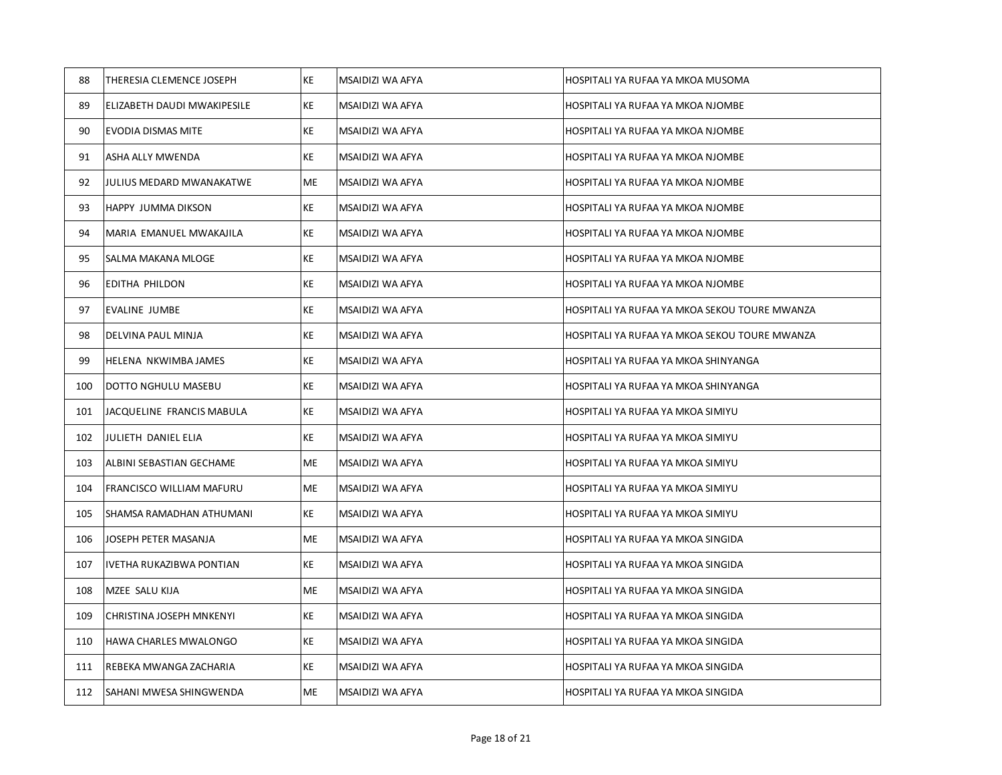| 88  | THERESIA CLEMENCE JOSEPH        | KE        | MSAIDIZI WA AFYA | HOSPITALI YA RUFAA YA MKOA MUSOMA             |
|-----|---------------------------------|-----------|------------------|-----------------------------------------------|
| 89  | ELIZABETH DAUDI MWAKIPESILE     | КE        | MSAIDIZI WA AFYA | HOSPITALI YA RUFAA YA MKOA NJOMBE             |
| 90  | <b>EVODIA DISMAS MITE</b>       | ΚE        | MSAIDIZI WA AFYA | HOSPITALI YA RUFAA YA MKOA NJOMBE             |
| 91  | ASHA ALLY MWENDA                | ΚE        | MSAIDIZI WA AFYA | HOSPITALI YA RUFAA YA MKOA NJOMBE             |
| 92  | JULIUS MEDARD MWANAKATWE        | ME        | MSAIDIZI WA AFYA | HOSPITALI YA RUFAA YA MKOA NJOMBE             |
| 93  | <b>HAPPY JUMMA DIKSON</b>       | КE        | MSAIDIZI WA AFYA | HOSPITALI YA RUFAA YA MKOA NJOMBE             |
| 94  | MARIA EMANUEL MWAKAJILA         | ΚE        | MSAIDIZI WA AFYA | HOSPITALI YA RUFAA YA MKOA NJOMBE             |
| 95  | SALMA MAKANA MLOGE              | КE        | MSAIDIZI WA AFYA | HOSPITALI YA RUFAA YA MKOA NJOMBE             |
| 96  | <b>EDITHA PHILDON</b>           | KE        | MSAIDIZI WA AFYA | HOSPITALI YA RUFAA YA MKOA NJOMBE             |
| 97  | EVALINE JUMBE                   | КE        | MSAIDIZI WA AFYA | HOSPITALI YA RUFAA YA MKOA SEKOU TOURE MWANZA |
| 98  | DELVINA PAUL MINJA              | КE        | MSAIDIZI WA AFYA | HOSPITALI YA RUFAA YA MKOA SEKOU TOURE MWANZA |
| 99  | HELENA NKWIMBA JAMES            | KE        | MSAIDIZI WA AFYA | HOSPITALI YA RUFAA YA MKOA SHINYANGA          |
| 100 | DOTTO NGHULU MASEBU             | KE        | MSAIDIZI WA AFYA | HOSPITALI YA RUFAA YA MKOA SHINYANGA          |
| 101 | JACQUELINE FRANCIS MABULA       | KE        | MSAIDIZI WA AFYA | HOSPITALI YA RUFAA YA MKOA SIMIYU             |
| 102 | JULIETH DANIEL ELIA             | КE        | MSAIDIZI WA AFYA | HOSPITALI YA RUFAA YA MKOA SIMIYU             |
| 103 | ALBINI SEBASTIAN GECHAME        | ME        | MSAIDIZI WA AFYA | HOSPITALI YA RUFAA YA MKOA SIMIYU             |
| 104 | <b>FRANCISCO WILLIAM MAFURU</b> | ME        | MSAIDIZI WA AFYA | HOSPITALI YA RUFAA YA MKOA SIMIYU             |
| 105 | SHAMSA RAMADHAN ATHUMANI        | KE        | MSAIDIZI WA AFYA | HOSPITALI YA RUFAA YA MKOA SIMIYU             |
| 106 | JOSEPH PETER MASANJA            | ME        | MSAIDIZI WA AFYA | HOSPITALI YA RUFAA YA MKOA SINGIDA            |
| 107 | IVETHA RUKAZIBWA PONTIAN        | KE        | MSAIDIZI WA AFYA | HOSPITALI YA RUFAA YA MKOA SINGIDA            |
| 108 | MZEE SALU KIJA                  | ME        | MSAIDIZI WA AFYA | HOSPITALI YA RUFAA YA MKOA SINGIDA            |
| 109 | <b>CHRISTINA JOSEPH MNKENYI</b> | KE        | MSAIDIZI WA AFYA | HOSPITALI YA RUFAA YA MKOA SINGIDA            |
| 110 | <b>HAWA CHARLES MWALONGO</b>    | <b>KE</b> | MSAIDIZI WA AFYA | HOSPITALI YA RUFAA YA MKOA SINGIDA            |
| 111 | REBEKA MWANGA ZACHARIA          | KE        | MSAIDIZI WA AFYA | HOSPITALI YA RUFAA YA MKOA SINGIDA            |
| 112 | SAHANI MWESA SHINGWENDA         | <b>ME</b> | MSAIDIZI WA AFYA | HOSPITALI YA RUFAA YA MKOA SINGIDA            |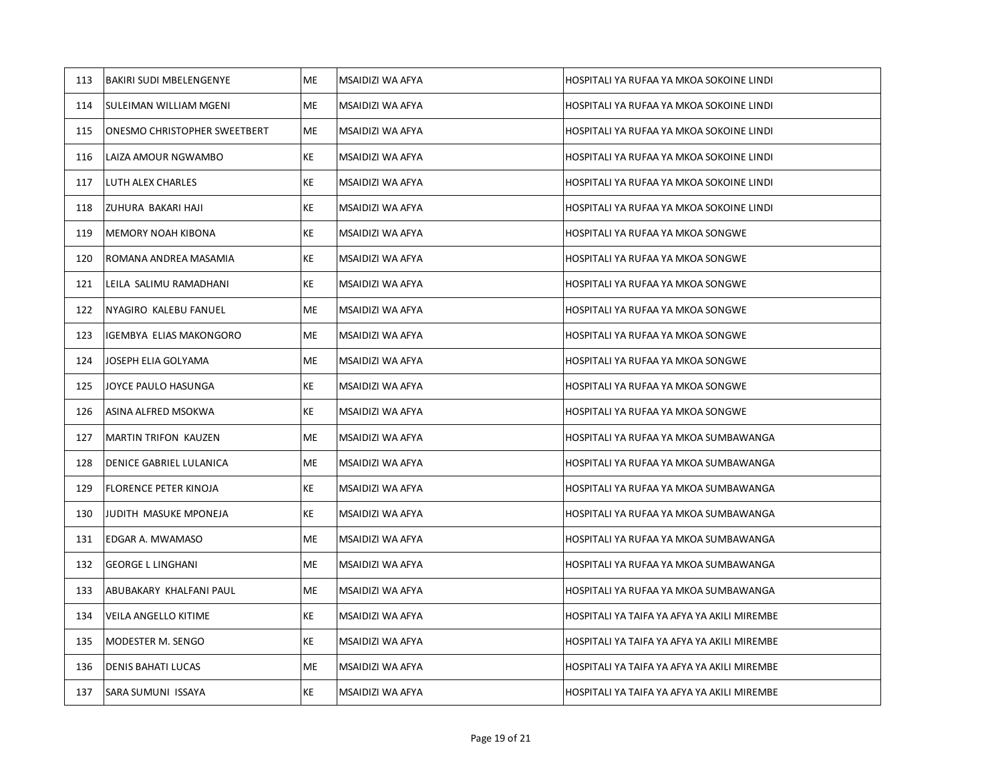| 113 | <b>BAKIRI SUDI MBELENGENYE</b>      | ME | MSAIDIZI WA AFYA | HOSPITALI YA RUFAA YA MKOA SOKOINE LINDI    |
|-----|-------------------------------------|----|------------------|---------------------------------------------|
| 114 | SULEIMAN WILLIAM MGENI              | ME | MSAIDIZI WA AFYA | HOSPITALI YA RUFAA YA MKOA SOKOINE LINDI    |
| 115 | <b>ONESMO CHRISTOPHER SWEETBERT</b> | ME | MSAIDIZI WA AFYA | HOSPITALI YA RUFAA YA MKOA SOKOINE LINDI    |
| 116 | LAIZA AMOUR NGWAMBO                 | KE | MSAIDIZI WA AFYA | HOSPITALI YA RUFAA YA MKOA SOKOINE LINDI    |
| 117 | LUTH ALEX CHARLES                   | ΚE | MSAIDIZI WA AFYA | HOSPITALI YA RUFAA YA MKOA SOKOINE LINDI    |
| 118 | ZUHURA BAKARI HAJI                  | KE | MSAIDIZI WA AFYA | HOSPITALI YA RUFAA YA MKOA SOKOINE LINDI    |
| 119 | <b>MEMORY NOAH KIBONA</b>           | KE | MSAIDIZI WA AFYA | HOSPITALI YA RUFAA YA MKOA SONGWE           |
| 120 | ROMANA ANDREA MASAMIA               | KE | MSAIDIZI WA AFYA | HOSPITALI YA RUFAA YA MKOA SONGWE           |
| 121 | LEILA SALIMU RAMADHANI              | ΚE | MSAIDIZI WA AFYA | HOSPITALI YA RUFAA YA MKOA SONGWE           |
| 122 | NYAGIRO KALEBU FANUEL               | ME | MSAIDIZI WA AFYA | HOSPITALI YA RUFAA YA MKOA SONGWE           |
| 123 | IGEMBYA ELIAS MAKONGORO             | ME | MSAIDIZI WA AFYA | HOSPITALI YA RUFAA YA MKOA SONGWE           |
| 124 | JOSEPH ELIA GOLYAMA                 | ME | MSAIDIZI WA AFYA | HOSPITALI YA RUFAA YA MKOA SONGWE           |
| 125 | JOYCE PAULO HASUNGA                 | KE | MSAIDIZI WA AFYA | HOSPITALI YA RUFAA YA MKOA SONGWE           |
| 126 | ASINA ALFRED MSOKWA                 | ΚE | MSAIDIZI WA AFYA | HOSPITALI YA RUFAA YA MKOA SONGWE           |
| 127 | <b>MARTIN TRIFON KAUZEN</b>         | ME | MSAIDIZI WA AFYA | HOSPITALI YA RUFAA YA MKOA SUMBAWANGA       |
| 128 | DENICE GABRIEL LULANICA             | ME | MSAIDIZI WA AFYA | HOSPITALI YA RUFAA YA MKOA SUMBAWANGA       |
| 129 | <b>FLORENCE PETER KINOJA</b>        | KE | MSAIDIZI WA AFYA | HOSPITALI YA RUFAA YA MKOA SUMBAWANGA       |
| 130 | JUDITH MASUKE MPONEJA               | КE | MSAIDIZI WA AFYA | HOSPITALI YA RUFAA YA MKOA SUMBAWANGA       |
| 131 | EDGAR A. MWAMASO                    | ME | MSAIDIZI WA AFYA | HOSPITALI YA RUFAA YA MKOA SUMBAWANGA       |
| 132 | <b>GEORGE L LINGHANI</b>            | ME | MSAIDIZI WA AFYA | HOSPITALI YA RUFAA YA MKOA SUMBAWANGA       |
| 133 | ABUBAKARY KHALFANI PAUL             | ME | MSAIDIZI WA AFYA | HOSPITALI YA RUFAA YA MKOA SUMBAWANGA       |
| 134 | VEILA ANGELLO KITIME                | KE | MSAIDIZI WA AFYA | HOSPITALI YA TAIFA YA AFYA YA AKILI MIREMBE |
| 135 | MODESTER M. SENGO                   | KE | MSAIDIZI WA AFYA | HOSPITALI YA TAIFA YA AFYA YA AKILI MIREMBE |
| 136 | <b>DENIS BAHATI LUCAS</b>           | ME | MSAIDIZI WA AFYA | HOSPITALI YA TAIFA YA AFYA YA AKILI MIREMBE |
| 137 | SARA SUMUNI ISSAYA                  | ΚE | MSAIDIZI WA AFYA | HOSPITALI YA TAIFA YA AFYA YA AKILI MIREMBE |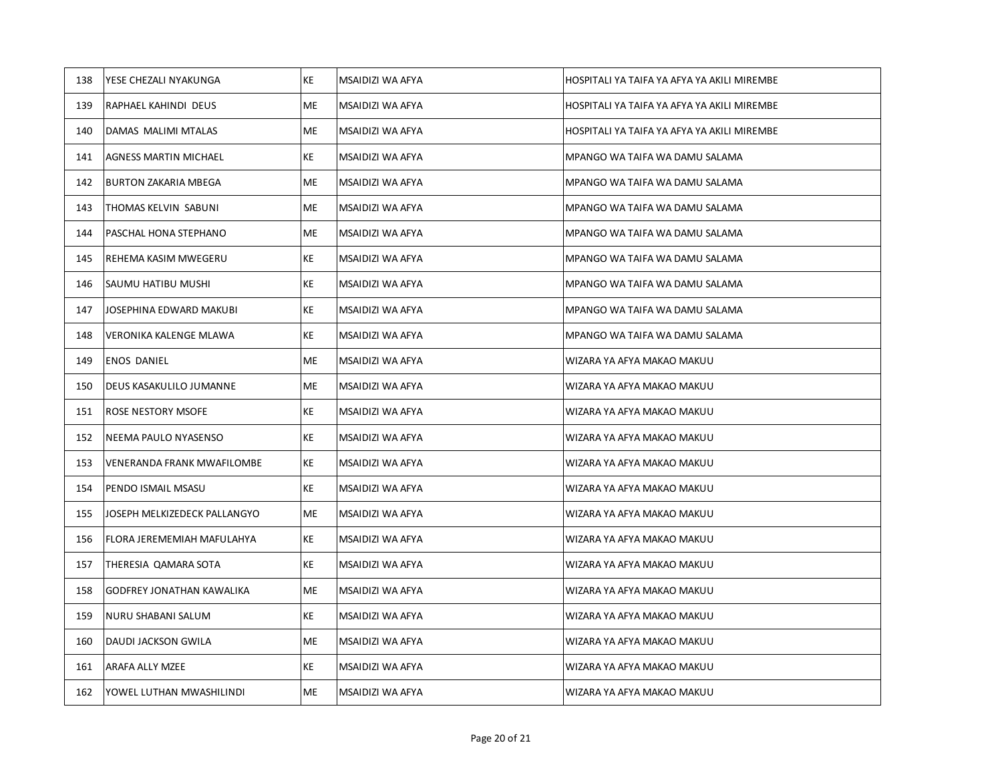| 138 | YESE CHEZALI NYAKUNGA            | KE        | MSAIDIZI WA AFYA | HOSPITALI YA TAIFA YA AFYA YA AKILI MIREMBE |
|-----|----------------------------------|-----------|------------------|---------------------------------------------|
| 139 | RAPHAEL KAHINDI DEUS             | ME        | MSAIDIZI WA AFYA | HOSPITALI YA TAIFA YA AFYA YA AKILI MIREMBE |
| 140 | DAMAS MALIMI MTALAS              | ME        | MSAIDIZI WA AFYA | HOSPITALI YA TAIFA YA AFYA YA AKILI MIREMBE |
| 141 | AGNESS MARTIN MICHAEL            | KE        | MSAIDIZI WA AFYA | MPANGO WA TAIFA WA DAMU SALAMA              |
| 142 | <b>BURTON ZAKARIA MBEGA</b>      | ME        | MSAIDIZI WA AFYA | MPANGO WA TAIFA WA DAMU SALAMA              |
| 143 | THOMAS KELVIN SABUNI             | ME        | MSAIDIZI WA AFYA | MPANGO WA TAIFA WA DAMU SALAMA              |
| 144 | PASCHAL HONA STEPHANO            | ME        | MSAIDIZI WA AFYA | MPANGO WA TAIFA WA DAMU SALAMA              |
| 145 | REHEMA KASIM MWEGERU             | ΚE        | MSAIDIZI WA AFYA | MPANGO WA TAIFA WA DAMU SALAMA              |
| 146 | SAUMU HATIBU MUSHI               | ΚE        | MSAIDIZI WA AFYA | MPANGO WA TAIFA WA DAMU SALAMA              |
| 147 | JOSEPHINA EDWARD MAKUBI          | ΚE        | MSAIDIZI WA AFYA | MPANGO WA TAIFA WA DAMU SALAMA              |
| 148 | VERONIKA KALENGE MLAWA           | KE        | MSAIDIZI WA AFYA | MPANGO WA TAIFA WA DAMU SALAMA              |
| 149 | <b>ENOS DANIEL</b>               | ME        | MSAIDIZI WA AFYA | WIZARA YA AFYA MAKAO MAKUU                  |
| 150 | DEUS KASAKULILO JUMANNE          | ME        | MSAIDIZI WA AFYA | WIZARA YA AFYA MAKAO MAKUU                  |
| 151 | <b>ROSE NESTORY MSOFE</b>        | ΚE        | MSAIDIZI WA AFYA | WIZARA YA AFYA MAKAO MAKUU                  |
| 152 | NEEMA PAULO NYASENSO             | ΚE        | MSAIDIZI WA AFYA | WIZARA YA AFYA MAKAO MAKUU                  |
| 153 | VENERANDA FRANK MWAFILOMBE       | KE        | MSAIDIZI WA AFYA | WIZARA YA AFYA MAKAO MAKUU                  |
| 154 | PENDO ISMAIL MSASU               | KE        | MSAIDIZI WA AFYA | WIZARA YA AFYA MAKAO MAKUU                  |
| 155 | JOSEPH MELKIZEDECK PALLANGYO     | ME        | MSAIDIZI WA AFYA | WIZARA YA AFYA MAKAO MAKUU                  |
| 156 | FLORA JEREMEMIAH MAFULAHYA       | KE        | MSAIDIZI WA AFYA | WIZARA YA AFYA MAKAO MAKUU                  |
| 157 | THERESIA QAMARA SOTA             | KE        | MSAIDIZI WA AFYA | WIZARA YA AFYA MAKAO MAKUU                  |
| 158 | <b>GODFREY JONATHAN KAWALIKA</b> | ME        | MSAIDIZI WA AFYA | WIZARA YA AFYA MAKAO MAKUU                  |
| 159 | NURU SHABANI SALUM               | KE        | MSAIDIZI WA AFYA | WIZARA YA AFYA MAKAO MAKUU                  |
| 160 | DAUDI JACKSON GWILA              | ME        | MSAIDIZI WA AFYA | WIZARA YA AFYA MAKAO MAKUU                  |
| 161 | <b>ARAFA ALLY MZEE</b>           | KE        | MSAIDIZI WA AFYA | WIZARA YA AFYA MAKAO MAKUU                  |
| 162 | YOWEL LUTHAN MWASHILINDI         | <b>ME</b> | MSAIDIZI WA AFYA | WIZARA YA AFYA MAKAO MAKUU                  |